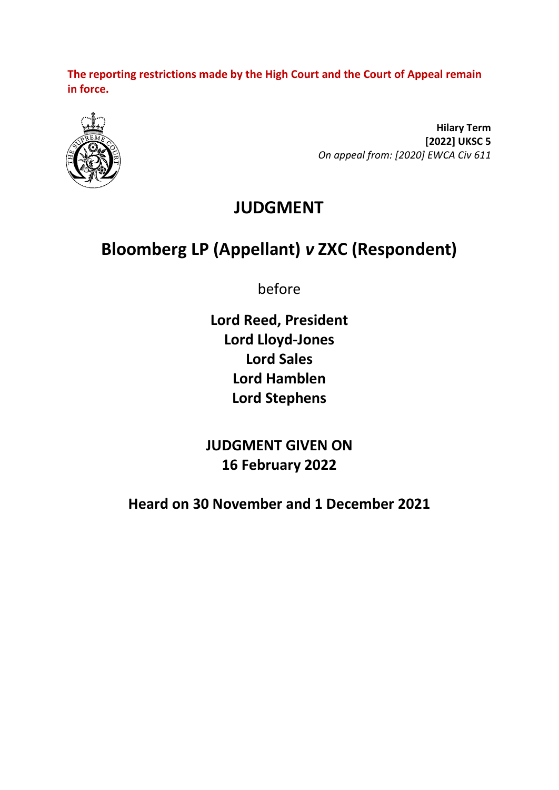**The reporting restrictions made by the High Court and the Court of Appeal remain in force.**



**Hilary Term [2022] UKSC 5** *On appeal from: [2020] EWCA Civ 611*

## **JUDGMENT**

# **Bloomberg LP (Appellant)** *v* **ZXC (Respondent)**

before

**Lord Reed, President Lord Lloyd-Jones Lord Sales Lord Hamblen Lord Stephens**

**JUDGMENT GIVEN ON 16 February 2022**

**Heard on 30 November and 1 December 2021**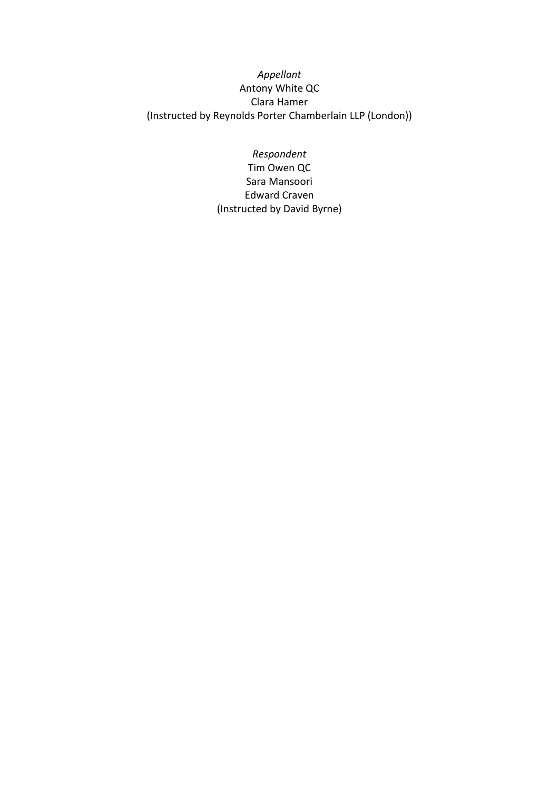#### *Appellant* Antony White QC Clara Hamer (Instructed by Reynolds Porter Chamberlain LLP (London))

*Respondent* Tim Owen QC Sara Mansoori Edward Craven (Instructed by David Byrne)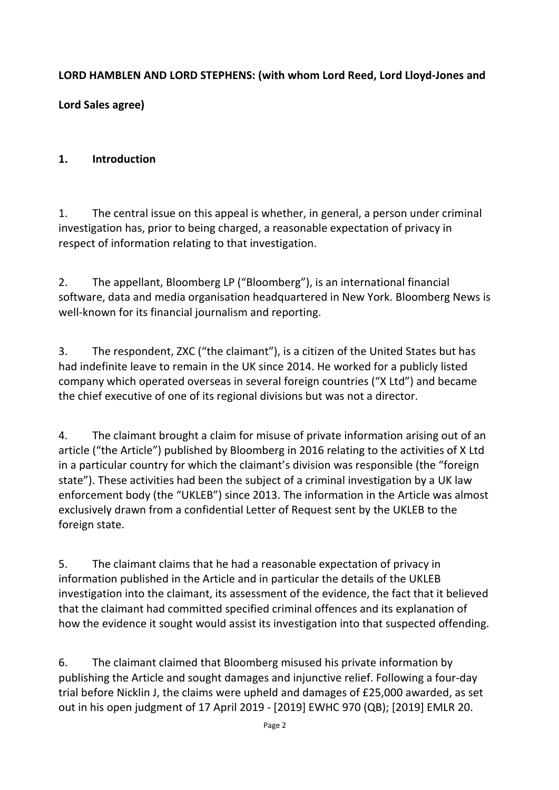#### **LORD HAMBLEN AND LORD STEPHENS: (with whom Lord Reed, Lord Lloyd-Jones and**

**Lord Sales agree)**

#### **1. Introduction**

1. The central issue on this appeal is whether, in general, a person under criminal investigation has, prior to being charged, a reasonable expectation of privacy in respect of information relating to that investigation.

2. The appellant, Bloomberg LP ("Bloomberg"), is an international financial software, data and media organisation headquartered in New York. Bloomberg News is well-known for its financial journalism and reporting.

3. The respondent, ZXC ("the claimant"), is a citizen of the United States but has had indefinite leave to remain in the UK since 2014. He worked for a publicly listed company which operated overseas in several foreign countries ("X Ltd") and became the chief executive of one of its regional divisions but was not a director.

4. The claimant brought a claim for misuse of private information arising out of an article ("the Article") published by Bloomberg in 2016 relating to the activities of X Ltd in a particular country for which the claimant's division was responsible (the "foreign state"). These activities had been the subject of a criminal investigation by a UK law enforcement body (the "UKLEB") since 2013. The information in the Article was almost exclusively drawn from a confidential Letter of Request sent by the UKLEB to the foreign state.

5. The claimant claims that he had a reasonable expectation of privacy in information published in the Article and in particular the details of the UKLEB investigation into the claimant, its assessment of the evidence, the fact that it believed that the claimant had committed specified criminal offences and its explanation of how the evidence it sought would assist its investigation into that suspected offending.

6. The claimant claimed that Bloomberg misused his private information by publishing the Article and sought damages and injunctive relief. Following a four-day trial before Nicklin J, the claims were upheld and damages of £25,000 awarded, as set out in his open judgment of 17 April 2019 - [2019] EWHC 970 (QB); [2019] EMLR 20.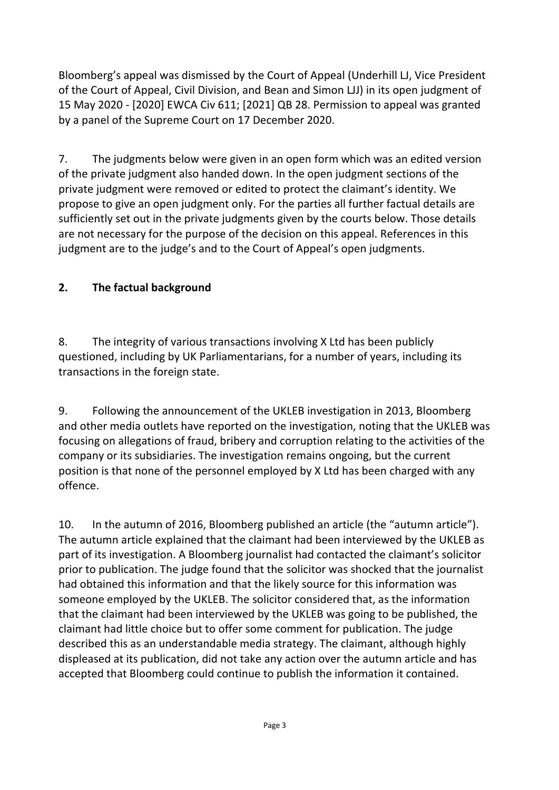Bloomberg's appeal was dismissed by the Court of Appeal (Underhill LJ, Vice President of the Court of Appeal, Civil Division, and Bean and Simon LJJ) in its open judgment of 15 May 2020 - [2020] EWCA Civ 611; [2021] QB 28. Permission to appeal was granted by a panel of the Supreme Court on 17 December 2020.

7. The judgments below were given in an open form which was an edited version of the private judgment also handed down. In the open judgment sections of the private judgment were removed or edited to protect the claimant's identity. We propose to give an open judgment only. For the parties all further factual details are sufficiently set out in the private judgments given by the courts below. Those details are not necessary for the purpose of the decision on this appeal. References in this judgment are to the judge's and to the Court of Appeal's open judgments.

## **2. The factual background**

8. The integrity of various transactions involving X Ltd has been publicly questioned, including by UK Parliamentarians, for a number of years, including its transactions in the foreign state.

9. Following the announcement of the UKLEB investigation in 2013, Bloomberg and other media outlets have reported on the investigation, noting that the UKLEB was focusing on allegations of fraud, bribery and corruption relating to the activities of the company or its subsidiaries. The investigation remains ongoing, but the current position is that none of the personnel employed by X Ltd has been charged with any offence.

10. In the autumn of 2016, Bloomberg published an article (the "autumn article"). The autumn article explained that the claimant had been interviewed by the UKLEB as part of its investigation. A Bloomberg journalist had contacted the claimant's solicitor prior to publication. The judge found that the solicitor was shocked that the journalist had obtained this information and that the likely source for this information was someone employed by the UKLEB. The solicitor considered that, as the information that the claimant had been interviewed by the UKLEB was going to be published, the claimant had little choice but to offer some comment for publication. The judge described this as an understandable media strategy. The claimant, although highly displeased at its publication, did not take any action over the autumn article and has accepted that Bloomberg could continue to publish the information it contained.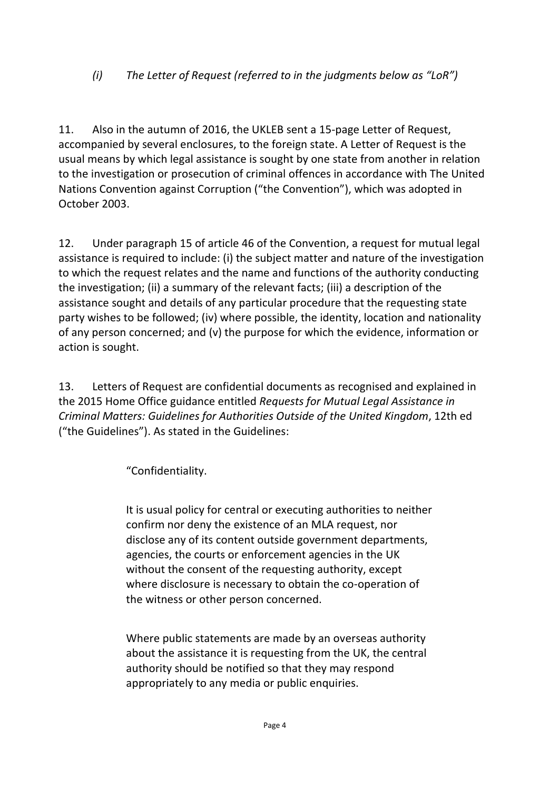## *(i) The Letter of Request (referred to in the judgments below as "LoR")*

11. Also in the autumn of 2016, the UKLEB sent a 15-page Letter of Request, accompanied by several enclosures, to the foreign state. A Letter of Request is the usual means by which legal assistance is sought by one state from another in relation to the investigation or prosecution of criminal offences in accordance with The United Nations Convention against Corruption ("the Convention"), which was adopted in October 2003.

12. Under paragraph 15 of article 46 of the Convention, a request for mutual legal assistance is required to include: (i) the subject matter and nature of the investigation to which the request relates and the name and functions of the authority conducting the investigation; (ii) a summary of the relevant facts; (iii) a description of the assistance sought and details of any particular procedure that the requesting state party wishes to be followed; (iv) where possible, the identity, location and nationality of any person concerned; and (v) the purpose for which the evidence, information or action is sought.

13. Letters of Request are confidential documents as recognised and explained in the 2015 Home Office guidance entitled *Requests for Mutual Legal Assistance in Criminal Matters: Guidelines for Authorities Outside of the United Kingdom*, 12th ed ("the Guidelines"). As stated in the Guidelines:

"Confidentiality.

It is usual policy for central or executing authorities to neither confirm nor deny the existence of an MLA request, nor disclose any of its content outside government departments, agencies, the courts or enforcement agencies in the UK without the consent of the requesting authority, except where disclosure is necessary to obtain the co-operation of the witness or other person concerned.

Where public statements are made by an overseas authority about the assistance it is requesting from the UK, the central authority should be notified so that they may respond appropriately to any media or public enquiries.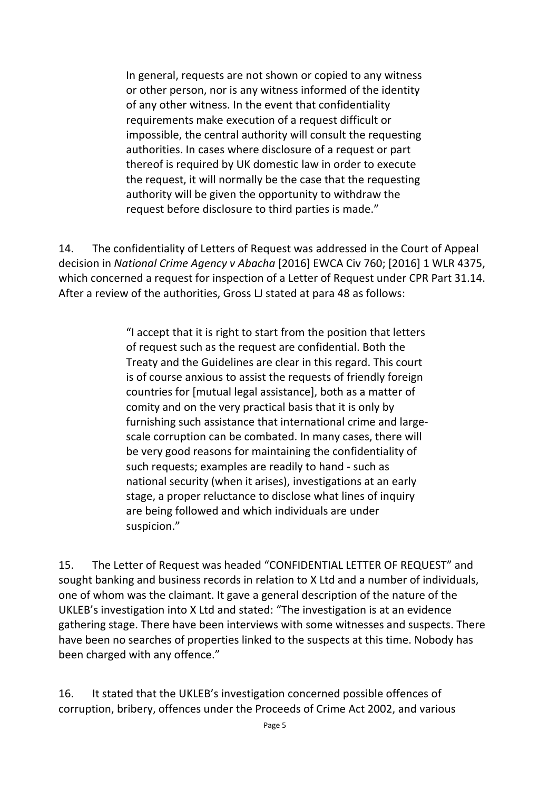In general, requests are not shown or copied to any witness or other person, nor is any witness informed of the identity of any other witness. In the event that confidentiality requirements make execution of a request difficult or impossible, the central authority will consult the requesting authorities. In cases where disclosure of a request or part thereof is required by UK domestic law in order to execute the request, it will normally be the case that the requesting authority will be given the opportunity to withdraw the request before disclosure to third parties is made."

14. The confidentiality of Letters of Request was addressed in the Court of Appeal decision in *National Crime Agency v Abacha* [2016] EWCA Civ 760; [2016] 1 WLR 4375, which concerned a request for inspection of a Letter of Request under CPR Part 31.14. After a review of the authorities, Gross LJ stated at para 48 as follows:

> "I accept that it is right to start from the position that letters of request such as the request are confidential. Both the Treaty and the Guidelines are clear in this regard. This court is of course anxious to assist the requests of friendly foreign countries for [mutual legal assistance], both as a matter of comity and on the very practical basis that it is only by furnishing such assistance that international crime and largescale corruption can be combated. In many cases, there will be very good reasons for maintaining the confidentiality of such requests; examples are readily to hand - such as national security (when it arises), investigations at an early stage, a proper reluctance to disclose what lines of inquiry are being followed and which individuals are under suspicion."

15. The Letter of Request was headed "CONFIDENTIAL LETTER OF REQUEST" and sought banking and business records in relation to X Ltd and a number of individuals, one of whom was the claimant. It gave a general description of the nature of the UKLEB's investigation into X Ltd and stated: "The investigation is at an evidence gathering stage. There have been interviews with some witnesses and suspects. There have been no searches of properties linked to the suspects at this time. Nobody has been charged with any offence."

16. It stated that the UKLEB's investigation concerned possible offences of corruption, bribery, offences under the Proceeds of Crime Act 2002, and various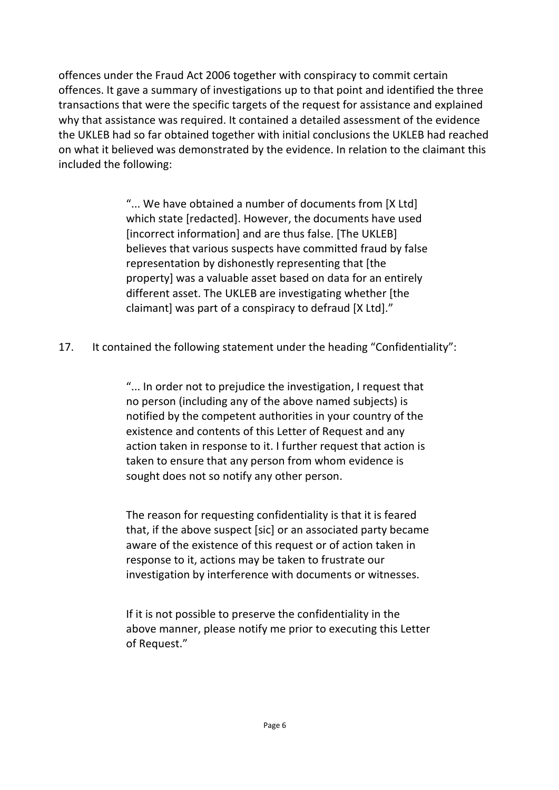offences under the Fraud Act 2006 together with conspiracy to commit certain offences. It gave a summary of investigations up to that point and identified the three transactions that were the specific targets of the request for assistance and explained why that assistance was required. It contained a detailed assessment of the evidence the UKLEB had so far obtained together with initial conclusions the UKLEB had reached on what it believed was demonstrated by the evidence. In relation to the claimant this included the following:

> "... We have obtained a number of documents from [X Ltd] which state [redacted]. However, the documents have used [incorrect information] and are thus false. [The UKLEB] believes that various suspects have committed fraud by false representation by dishonestly representing that [the property] was a valuable asset based on data for an entirely different asset. The UKLEB are investigating whether [the claimant] was part of a conspiracy to defraud [X Ltd]."

17. It contained the following statement under the heading "Confidentiality":

"... In order not to prejudice the investigation, I request that no person (including any of the above named subjects) is notified by the competent authorities in your country of the existence and contents of this Letter of Request and any action taken in response to it. I further request that action is taken to ensure that any person from whom evidence is sought does not so notify any other person.

The reason for requesting confidentiality is that it is feared that, if the above suspect [sic] or an associated party became aware of the existence of this request or of action taken in response to it, actions may be taken to frustrate our investigation by interference with documents or witnesses.

If it is not possible to preserve the confidentiality in the above manner, please notify me prior to executing this Letter of Request."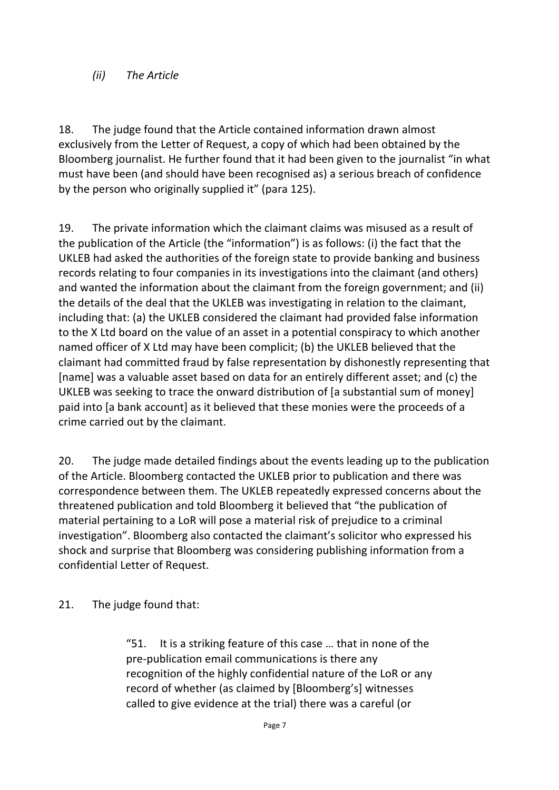#### *(ii) The Article*

18. The judge found that the Article contained information drawn almost exclusively from the Letter of Request, a copy of which had been obtained by the Bloomberg journalist. He further found that it had been given to the journalist "in what must have been (and should have been recognised as) a serious breach of confidence by the person who originally supplied it" (para 125).

19. The private information which the claimant claims was misused as a result of the publication of the Article (the "information") is as follows: (i) the fact that the UKLEB had asked the authorities of the foreign state to provide banking and business records relating to four companies in its investigations into the claimant (and others) and wanted the information about the claimant from the foreign government; and (ii) the details of the deal that the UKLEB was investigating in relation to the claimant, including that: (a) the UKLEB considered the claimant had provided false information to the X Ltd board on the value of an asset in a potential conspiracy to which another named officer of X Ltd may have been complicit; (b) the UKLEB believed that the claimant had committed fraud by false representation by dishonestly representing that [name] was a valuable asset based on data for an entirely different asset; and (c) the UKLEB was seeking to trace the onward distribution of [a substantial sum of money] paid into [a bank account] as it believed that these monies were the proceeds of a crime carried out by the claimant.

20. The judge made detailed findings about the events leading up to the publication of the Article. Bloomberg contacted the UKLEB prior to publication and there was correspondence between them. The UKLEB repeatedly expressed concerns about the threatened publication and told Bloomberg it believed that "the publication of material pertaining to a LoR will pose a material risk of prejudice to a criminal investigation". Bloomberg also contacted the claimant's solicitor who expressed his shock and surprise that Bloomberg was considering publishing information from a confidential Letter of Request.

21. The judge found that:

"51. It is a striking feature of this case … that in none of the pre-publication email communications is there any recognition of the highly confidential nature of the LoR or any record of whether (as claimed by [Bloomberg's] witnesses called to give evidence at the trial) there was a careful (or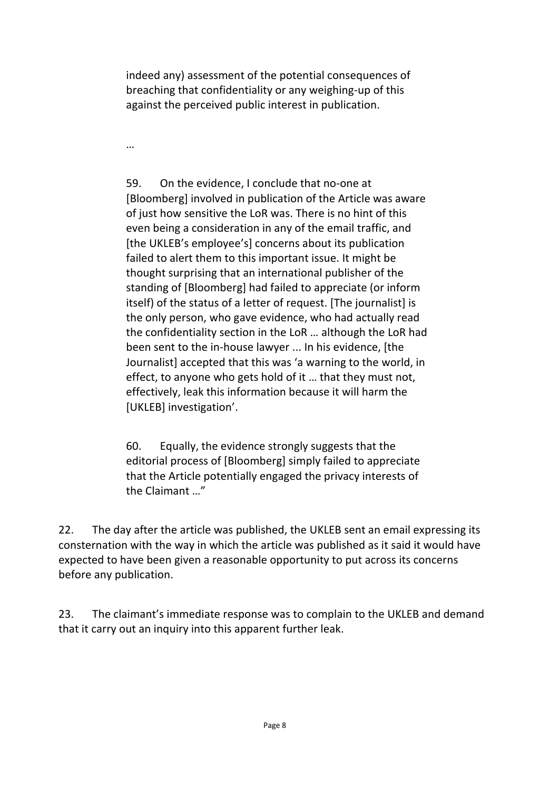indeed any) assessment of the potential consequences of breaching that confidentiality or any weighing-up of this against the perceived public interest in publication.

…

59. On the evidence, I conclude that no-one at [Bloomberg] involved in publication of the Article was aware of just how sensitive the LoR was. There is no hint of this even being a consideration in any of the email traffic, and [the UKLEB's employee's] concerns about its publication failed to alert them to this important issue. It might be thought surprising that an international publisher of the standing of [Bloomberg] had failed to appreciate (or inform itself) of the status of a letter of request. [The journalist] is the only person, who gave evidence, who had actually read the confidentiality section in the LoR … although the LoR had been sent to the in-house lawyer ... In his evidence, [the Journalist] accepted that this was 'a warning to the world, in effect, to anyone who gets hold of it … that they must not, effectively, leak this information because it will harm the [UKLEB] investigation'.

60. Equally, the evidence strongly suggests that the editorial process of [Bloomberg] simply failed to appreciate that the Article potentially engaged the privacy interests of the Claimant …"

22. The day after the article was published, the UKLEB sent an email expressing its consternation with the way in which the article was published as it said it would have expected to have been given a reasonable opportunity to put across its concerns before any publication.

23. The claimant's immediate response was to complain to the UKLEB and demand that it carry out an inquiry into this apparent further leak.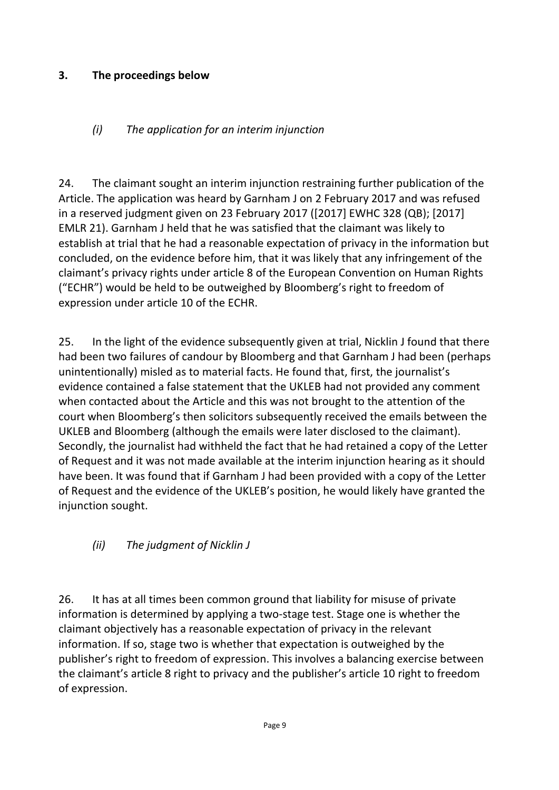## **3. The proceedings below**

## *(i) The application for an interim injunction*

24. The claimant sought an interim injunction restraining further publication of the Article. The application was heard by Garnham J on 2 February 2017 and was refused in a reserved judgment given on 23 February 2017 ([2017] EWHC 328 (QB); [2017] EMLR 21). Garnham J held that he was satisfied that the claimant was likely to establish at trial that he had a reasonable expectation of privacy in the information but concluded, on the evidence before him, that it was likely that any infringement of the claimant's privacy rights under article 8 of the European Convention on Human Rights ("ECHR") would be held to be outweighed by Bloomberg's right to freedom of expression under article 10 of the ECHR.

25. In the light of the evidence subsequently given at trial, Nicklin J found that there had been two failures of candour by Bloomberg and that Garnham J had been (perhaps unintentionally) misled as to material facts. He found that, first, the journalist's evidence contained a false statement that the UKLEB had not provided any comment when contacted about the Article and this was not brought to the attention of the court when Bloomberg's then solicitors subsequently received the emails between the UKLEB and Bloomberg (although the emails were later disclosed to the claimant). Secondly, the journalist had withheld the fact that he had retained a copy of the Letter of Request and it was not made available at the interim injunction hearing as it should have been. It was found that if Garnham J had been provided with a copy of the Letter of Request and the evidence of the UKLEB's position, he would likely have granted the injunction sought.

## *(ii) The judgment of Nicklin J*

26. It has at all times been common ground that liability for misuse of private information is determined by applying a two-stage test. Stage one is whether the claimant objectively has a reasonable expectation of privacy in the relevant information. If so, stage two is whether that expectation is outweighed by the publisher's right to freedom of expression. This involves a balancing exercise between the claimant's article 8 right to privacy and the publisher's article 10 right to freedom of expression.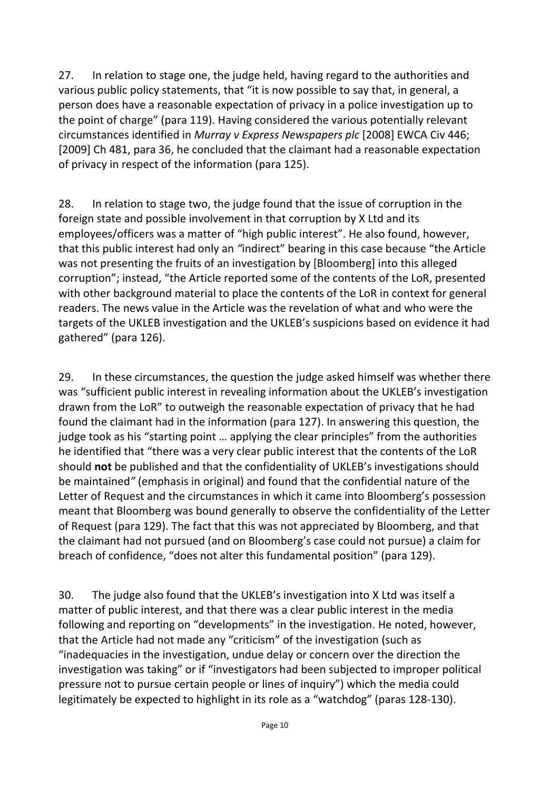27. In relation to stage one, the judge held, having regard to the authorities and various public policy statements, that "it is now possible to say that, in general, a person does have a reasonable expectation of privacy in a police investigation up to the point of charge" (para 119). Having considered the various potentially relevant circumstances identified in *Murray v Express Newspapers plc* [2008] EWCA Civ 446; [2009] Ch 481, para 36, he concluded that the claimant had a reasonable expectation of privacy in respect of the information (para 125).

28. In relation to stage two, the judge found that the issue of corruption in the foreign state and possible involvement in that corruption by X Ltd and its employees/officers was a matter of "high public interest". He also found, however, that this public interest had only an *"*indirect" bearing in this case because "the Article was not presenting the fruits of an investigation by [Bloomberg] into this alleged corruption"; instead, "the Article reported some of the contents of the LoR, presented with other background material to place the contents of the LoR in context for general readers. The news value in the Article was the revelation of what and who were the targets of the UKLEB investigation and the UKLEB's suspicions based on evidence it had gathered" (para 126).

29. In these circumstances, the question the judge asked himself was whether there was "sufficient public interest in revealing information about the UKLEB's investigation drawn from the LoR" to outweigh the reasonable expectation of privacy that he had found the claimant had in the information (para 127). In answering this question, the judge took as his "starting point ... applying the clear principles" from the authorities he identified that "there was a very clear public interest that the contents of the LoR should **not** be published and that the confidentiality of UKLEB's investigations should be maintained*"* (emphasis in original) and found that the confidential nature of the Letter of Request and the circumstances in which it came into Bloomberg's possession meant that Bloomberg was bound generally to observe the confidentiality of the Letter of Request (para 129). The fact that this was not appreciated by Bloomberg, and that the claimant had not pursued (and on Bloomberg's case could not pursue) a claim for breach of confidence, "does not alter this fundamental position" (para 129).

30. The judge also found that the UKLEB's investigation into X Ltd was itself a matter of public interest, and that there was a clear public interest in the media following and reporting on "developments" in the investigation. He noted, however, that the Article had not made any "criticism" of the investigation (such as "inadequacies in the investigation, undue delay or concern over the direction the investigation was taking" or if "investigators had been subjected to improper political pressure not to pursue certain people or lines of inquiry") which the media could legitimately be expected to highlight in its role as a "watchdog" (paras 128-130).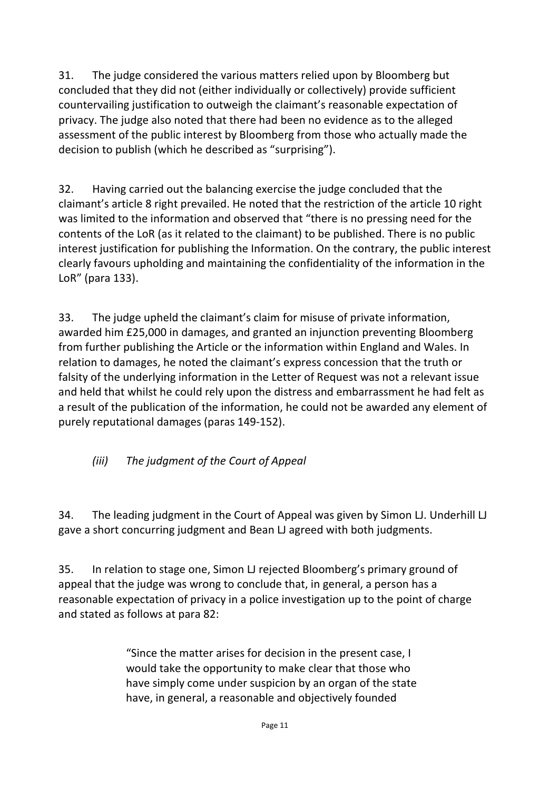31. The judge considered the various matters relied upon by Bloomberg but concluded that they did not (either individually or collectively) provide sufficient countervailing justification to outweigh the claimant's reasonable expectation of privacy. The judge also noted that there had been no evidence as to the alleged assessment of the public interest by Bloomberg from those who actually made the decision to publish (which he described as "surprising").

32. Having carried out the balancing exercise the judge concluded that the claimant's article 8 right prevailed. He noted that the restriction of the article 10 right was limited to the information and observed that "there is no pressing need for the contents of the LoR (as it related to the claimant) to be published. There is no public interest justification for publishing the Information. On the contrary, the public interest clearly favours upholding and maintaining the confidentiality of the information in the LoR" (para 133).

33. The judge upheld the claimant's claim for misuse of private information, awarded him £25,000 in damages, and granted an injunction preventing Bloomberg from further publishing the Article or the information within England and Wales. In relation to damages, he noted the claimant's express concession that the truth or falsity of the underlying information in the Letter of Request was not a relevant issue and held that whilst he could rely upon the distress and embarrassment he had felt as a result of the publication of the information, he could not be awarded any element of purely reputational damages (paras 149-152).

*(iii) The judgment of the Court of Appeal*

34. The leading judgment in the Court of Appeal was given by Simon LJ. Underhill LJ gave a short concurring judgment and Bean LJ agreed with both judgments.

35. In relation to stage one, Simon LJ rejected Bloomberg's primary ground of appeal that the judge was wrong to conclude that, in general, a person has a reasonable expectation of privacy in a police investigation up to the point of charge and stated as follows at para 82:

> "Since the matter arises for decision in the present case, I would take the opportunity to make clear that those who have simply come under suspicion by an organ of the state have, in general, a reasonable and objectively founded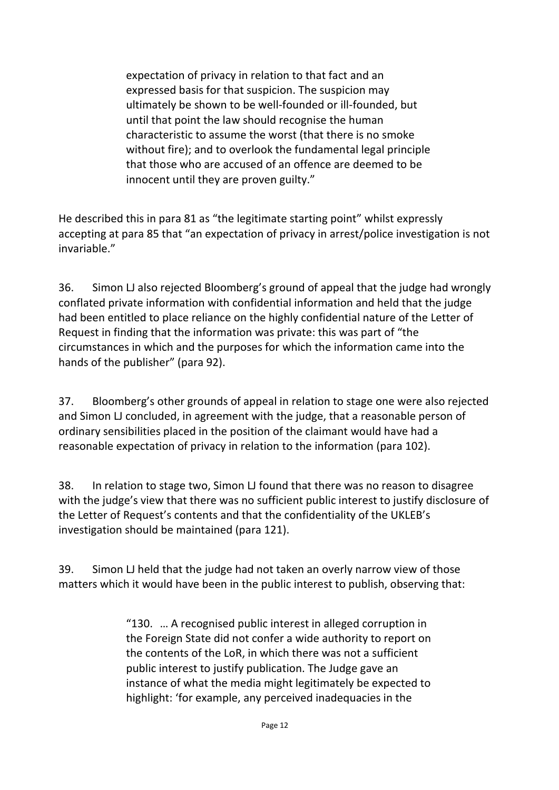expectation of privacy in relation to that fact and an expressed basis for that suspicion. The suspicion may ultimately be shown to be well-founded or ill-founded, but until that point the law should recognise the human characteristic to assume the worst (that there is no smoke without fire); and to overlook the fundamental legal principle that those who are accused of an offence are deemed to be innocent until they are proven guilty."

He described this in para 81 as "the legitimate starting point" whilst expressly accepting at para 85 that "an expectation of privacy in arrest/police investigation is not invariable."

36. Simon LJ also rejected Bloomberg's ground of appeal that the judge had wrongly conflated private information with confidential information and held that the judge had been entitled to place reliance on the highly confidential nature of the Letter of Request in finding that the information was private: this was part of "the circumstances in which and the purposes for which the information came into the hands of the publisher" (para 92).

37. Bloomberg's other grounds of appeal in relation to stage one were also rejected and Simon LJ concluded, in agreement with the judge, that a reasonable person of ordinary sensibilities placed in the position of the claimant would have had a reasonable expectation of privacy in relation to the information (para 102).

38. In relation to stage two, Simon LJ found that there was no reason to disagree with the judge's view that there was no sufficient public interest to justify disclosure of the Letter of Request's contents and that the confidentiality of the UKLEB's investigation should be maintained (para 121).

39. Simon LJ held that the judge had not taken an overly narrow view of those matters which it would have been in the public interest to publish, observing that:

> "130. … A recognised public interest in alleged corruption in the Foreign State did not confer a wide authority to report on the contents of the LoR, in which there was not a sufficient public interest to justify publication. The Judge gave an instance of what the media might legitimately be expected to highlight: 'for example, any perceived inadequacies in the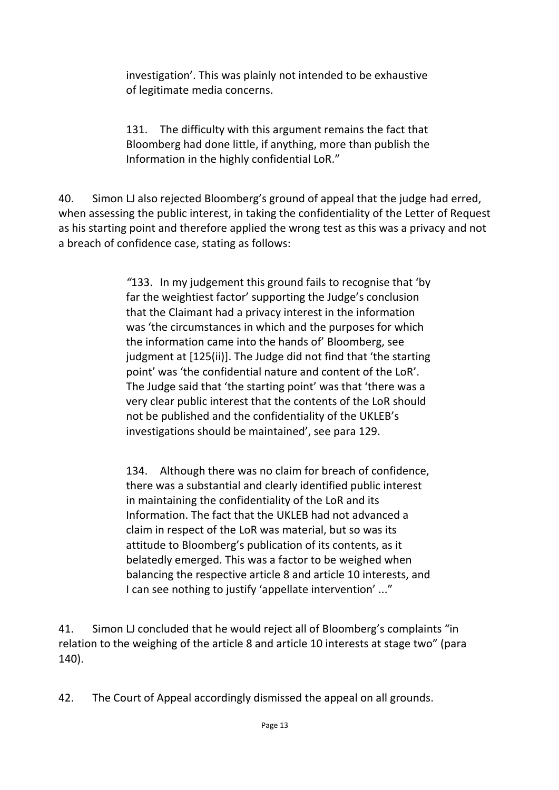investigation'. This was plainly not intended to be exhaustive of legitimate media concerns.

131. The difficulty with this argument remains the fact that Bloomberg had done little, if anything, more than publish the Information in the highly confidential LoR."

40. Simon LJ also rejected Bloomberg's ground of appeal that the judge had erred, when assessing the public interest, in taking the confidentiality of the Letter of Request as his starting point and therefore applied the wrong test as this was a privacy and not a breach of confidence case, stating as follows:

> *"*133. In my judgement this ground fails to recognise that 'by far the weightiest factor' supporting the Judge's conclusion that the Claimant had a privacy interest in the information was 'the circumstances in which and the purposes for which the information came into the hands of' Bloomberg, see judgment at [125(ii)]. The Judge did not find that 'the starting point' was 'the confidential nature and content of the LoR'. The Judge said that 'the starting point' was that 'there was a very clear public interest that the contents of the LoR should not be published and the confidentiality of the UKLEB's investigations should be maintained', see para 129.

> 134. Although there was no claim for breach of confidence, there was a substantial and clearly identified public interest in maintaining the confidentiality of the LoR and its Information. The fact that the UKLEB had not advanced a claim in respect of the LoR was material, but so was its attitude to Bloomberg's publication of its contents, as it belatedly emerged. This was a factor to be weighed when balancing the respective article 8 and article 10 interests, and I can see nothing to justify 'appellate intervention' ..."

41. Simon LJ concluded that he would reject all of Bloomberg's complaints "in relation to the weighing of the article 8 and article 10 interests at stage two" (para 140).

42. The Court of Appeal accordingly dismissed the appeal on all grounds.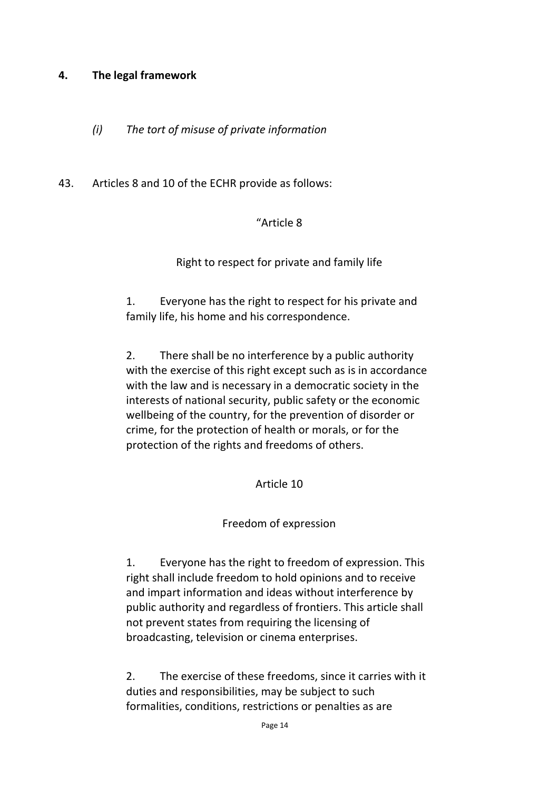#### **4. The legal framework**

- *(i) The tort of misuse of private information*
- 43. Articles 8 and 10 of the ECHR provide as follows:

#### "Article 8

#### Right to respect for private and family life

1. Everyone has the right to respect for his private and family life, his home and his correspondence.

2. There shall be no interference by a public authority with the exercise of this right except such as is in accordance with the law and is necessary in a democratic society in the interests of national security, public safety or the economic wellbeing of the country, for the prevention of disorder or crime, for the protection of health or morals, or for the protection of the rights and freedoms of others.

#### Article 10

#### Freedom of expression

1. Everyone has the right to freedom of expression. This right shall include freedom to hold opinions and to receive and impart information and ideas without interference by public authority and regardless of frontiers. This article shall not prevent states from requiring the licensing of broadcasting, television or cinema enterprises.

2. The exercise of these freedoms, since it carries with it duties and responsibilities, may be subject to such formalities, conditions, restrictions or penalties as are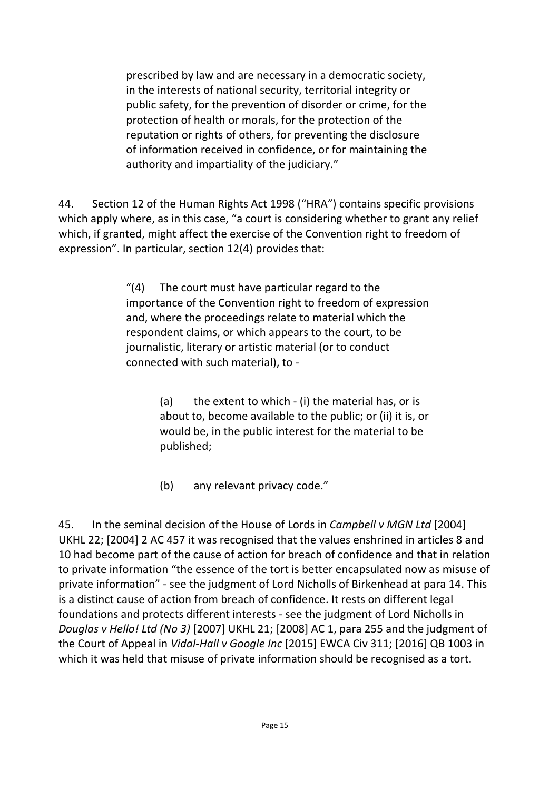prescribed by law and are necessary in a democratic society, in the interests of national security, territorial integrity or public safety, for the prevention of disorder or crime, for the protection of health or morals, for the protection of the reputation or rights of others, for preventing the disclosure of information received in confidence, or for maintaining the authority and impartiality of the judiciary."

44. Section 12 of the Human Rights Act 1998 ("HRA") contains specific provisions which apply where, as in this case, "a court is considering whether to grant any relief which, if granted, might affect the exercise of the Convention right to freedom of expression". In particular, section 12(4) provides that:

> "(4) The court must have particular regard to the importance of the Convention right to freedom of expression and, where the proceedings relate to material which the respondent claims, or which appears to the court, to be journalistic, literary or artistic material (or to conduct connected with such material), to -

> > (a) the extent to which - (i) the material has, or is about to, become available to the public; or (ii) it is, or would be, in the public interest for the material to be published;

(b) any relevant privacy code."

45. In the seminal decision of the House of Lords in *Campbell v MGN Ltd* [2004] UKHL 22; [2004] 2 AC 457 it was recognised that the values enshrined in articles 8 and 10 had become part of the cause of action for breach of confidence and that in relation to private information "the essence of the tort is better encapsulated now as misuse of private information" - see the judgment of Lord Nicholls of Birkenhead at para 14. This is a distinct cause of action from breach of confidence. It rests on different legal foundations and protects different interests - see the judgment of Lord Nicholls in *Douglas v Hello! Ltd (No 3)* [2007] UKHL 21; [2008] AC 1, para 255 and the judgment of the Court of Appeal in *Vidal-Hall v Google Inc* [2015] EWCA Civ 311; [2016] QB 1003 in which it was held that misuse of private information should be recognised as a tort.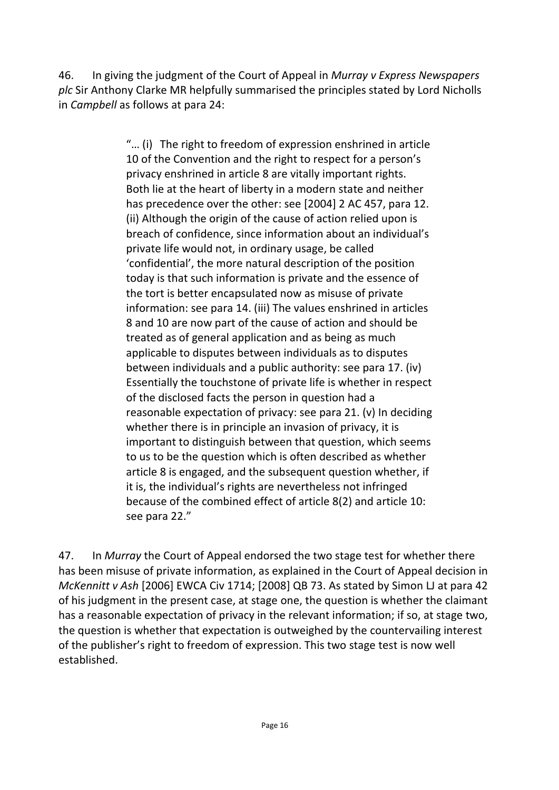46. In giving the judgment of the Court of Appeal in *Murray v Express Newspapers plc* Sir Anthony Clarke MR helpfully summarised the principles stated by Lord Nicholls in *Campbell* as follows at para 24:

> "… (i) The right to freedom of expression enshrined in article 10 of the Convention and the right to respect for a person's privacy enshrined in article 8 are vitally important rights. Both lie at the heart of liberty in a modern state and neither has precedence over the other: see [2004] 2 AC 457, para 12. (ii) Although the origin of the cause of action relied upon is breach of confidence, since information about an individual's private life would not, in ordinary usage, be called 'confidential', the more natural description of the position today is that such information is private and the essence of the tort is better encapsulated now as misuse of private information: see para 14. (iii) The values enshrined in articles 8 and 10 are now part of the cause of action and should be treated as of general application and as being as much applicable to disputes between individuals as to disputes between individuals and a public authority: see para 17. (iv) Essentially the touchstone of private life is whether in respect of the disclosed facts the person in question had a reasonable expectation of privacy: see para 21. (v) In deciding whether there is in principle an invasion of privacy, it is important to distinguish between that question, which seems to us to be the question which is often described as whether article 8 is engaged, and the subsequent question whether, if it is, the individual's rights are nevertheless not infringed because of the combined effect of article 8(2) and article 10: see para 22."

47. In *Murray* the Court of Appeal endorsed the two stage test for whether there has been misuse of private information, as explained in the Court of Appeal decision in *McKennitt v Ash* [2006] EWCA Civ 1714; [2008] QB 73. As stated by Simon LJ at para 42 of his judgment in the present case, at stage one, the question is whether the claimant has a reasonable expectation of privacy in the relevant information; if so, at stage two, the question is whether that expectation is outweighed by the countervailing interest of the publisher's right to freedom of expression. This two stage test is now well established.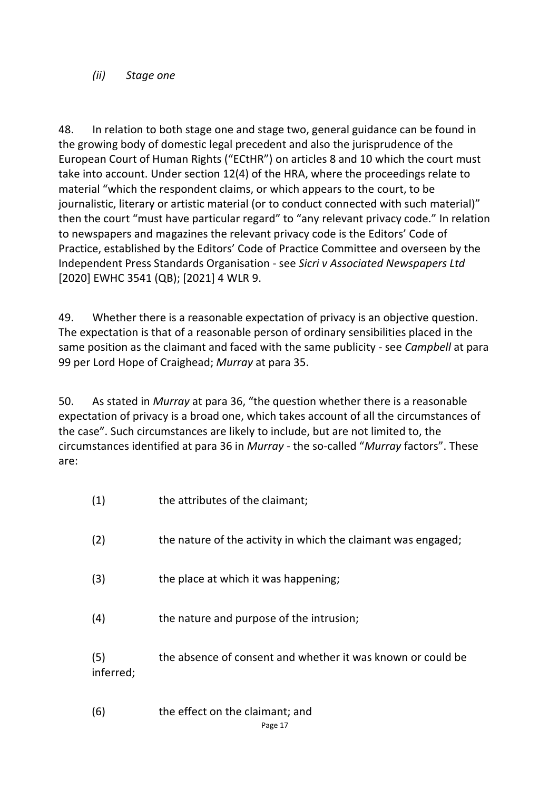#### *(ii) Stage one*

48. In relation to both stage one and stage two, general guidance can be found in the growing body of domestic legal precedent and also the jurisprudence of the European Court of Human Rights ("ECtHR") on articles 8 and 10 which the court must take into account. Under section 12(4) of the HRA, where the proceedings relate to material "which the respondent claims, or which appears to the court, to be journalistic, literary or artistic material (or to conduct connected with such material)" then the court "must have particular regard" to "any relevant privacy code." In relation to newspapers and magazines the relevant privacy code is the Editors' Code of Practice, established by the Editors' Code of Practice Committee and overseen by the Independent Press Standards Organisation - see *Sicri v Associated Newspapers Ltd*  [2020] EWHC 3541 (QB); [2021] 4 WLR 9.

49. Whether there is a reasonable expectation of privacy is an objective question. The expectation is that of a reasonable person of ordinary sensibilities placed in the same position as the claimant and faced with the same publicity - see *Campbell* at para 99 per Lord Hope of Craighead; *Murray* at para 35.

50. As stated in *Murray* at para 36, "the question whether there is a reasonable expectation of privacy is a broad one, which takes account of all the circumstances of the case". Such circumstances are likely to include, but are not limited to, the circumstances identified at para 36 in *Murray* - the so-called "*Murray* factors". These are:

| (1)              | the attributes of the claimant;                               |
|------------------|---------------------------------------------------------------|
| (2)              | the nature of the activity in which the claimant was engaged; |
| (3)              | the place at which it was happening;                          |
| (4)              | the nature and purpose of the intrusion;                      |
| (5)<br>inferred; | the absence of consent and whether it was known or could be   |

Page 17 (6) the effect on the claimant; and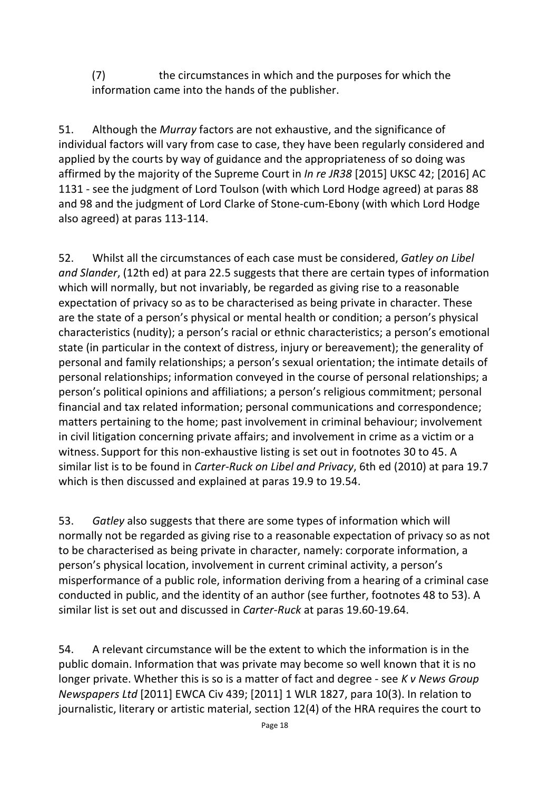(7) the circumstances in which and the purposes for which the information came into the hands of the publisher.

51. Although the *Murray* factors are not exhaustive, and the significance of individual factors will vary from case to case, they have been regularly considered and applied by the courts by way of guidance and the appropriateness of so doing was affirmed by the majority of the Supreme Court in *In re JR38* [2015] UKSC 42; [2016] AC 1131 - see the judgment of Lord Toulson (with which Lord Hodge agreed) at paras 88 and 98 and the judgment of Lord Clarke of Stone-cum-Ebony (with which Lord Hodge also agreed) at paras 113-114.

52. Whilst all the circumstances of each case must be considered, *Gatley on Libel and Slander*, (12th ed) at para 22.5 suggests that there are certain types of information which will normally, but not invariably, be regarded as giving rise to a reasonable expectation of privacy so as to be characterised as being private in character. These are the state of a person's physical or mental health or condition; a person's physical characteristics (nudity); a person's racial or ethnic characteristics; a person's emotional state (in particular in the context of distress, injury or bereavement); the generality of personal and family relationships; a person's sexual orientation; the intimate details of personal relationships; information conveyed in the course of personal relationships; a person's political opinions and affiliations; a person's religious commitment; personal financial and tax related information; personal communications and correspondence; matters pertaining to the home; past involvement in criminal behaviour; involvement in civil litigation concerning private affairs; and involvement in crime as a victim or a witness. Support for this non-exhaustive listing is set out in footnotes 30 to 45. A similar list is to be found in *Carter-Ruck on Libel and Privacy*, 6th ed (2010) at para 19.7 which is then discussed and explained at paras 19.9 to 19.54.

53. *Gatley* also suggests that there are some types of information which will normally not be regarded as giving rise to a reasonable expectation of privacy so as not to be characterised as being private in character, namely: corporate information, a person's physical location, involvement in current criminal activity, a person's misperformance of a public role, information deriving from a hearing of a criminal case conducted in public, and the identity of an author (see further, footnotes 48 to 53). A similar list is set out and discussed in *Carter-Ruck* at paras 19.60-19.64.

54. A relevant circumstance will be the extent to which the information is in the public domain. Information that was private may become so well known that it is no longer private. Whether this is so is a matter of fact and degree - see *K v News Group Newspapers Ltd* [2011] EWCA Civ 439; [2011] 1 WLR 1827, para 10(3). In relation to journalistic, literary or artistic material, section 12(4) of the HRA requires the court to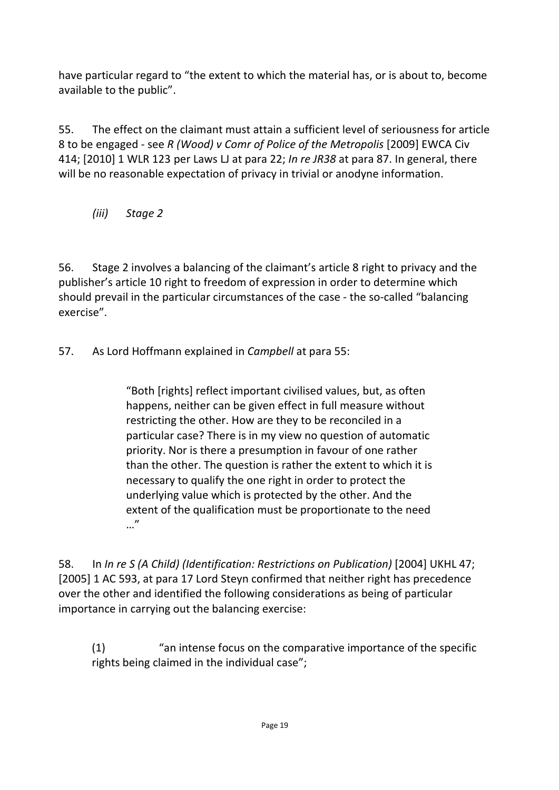have particular regard to "the extent to which the material has, or is about to, become available to the public".

55. The effect on the claimant must attain a sufficient level of seriousness for article 8 to be engaged - see *R (Wood) v Comr of Police of the Metropolis* [2009] EWCA Civ 414; [2010] 1 WLR 123 per Laws LJ at para 22; *In re JR38* at para 87. In general, there will be no reasonable expectation of privacy in trivial or anodyne information.

*(iii) Stage 2*

56. Stage 2 involves a balancing of the claimant's article 8 right to privacy and the publisher's article 10 right to freedom of expression in order to determine which should prevail in the particular circumstances of the case - the so-called "balancing exercise".

57. As Lord Hoffmann explained in *Campbell* at para 55:

"Both [rights] reflect important civilised values, but, as often happens, neither can be given effect in full measure without restricting the other. How are they to be reconciled in a particular case? There is in my view no question of automatic priority. Nor is there a presumption in favour of one rather than the other. The question is rather the extent to which it is necessary to qualify the one right in order to protect the underlying value which is protected by the other. And the extent of the qualification must be proportionate to the need …"

58. In *In re S (A Child) (Identification: Restrictions on Publication)* [2004] UKHL 47; [2005] 1 AC 593, at para 17 Lord Steyn confirmed that neither right has precedence over the other and identified the following considerations as being of particular importance in carrying out the balancing exercise:

(1) "an intense focus on the comparative importance of the specific rights being claimed in the individual case";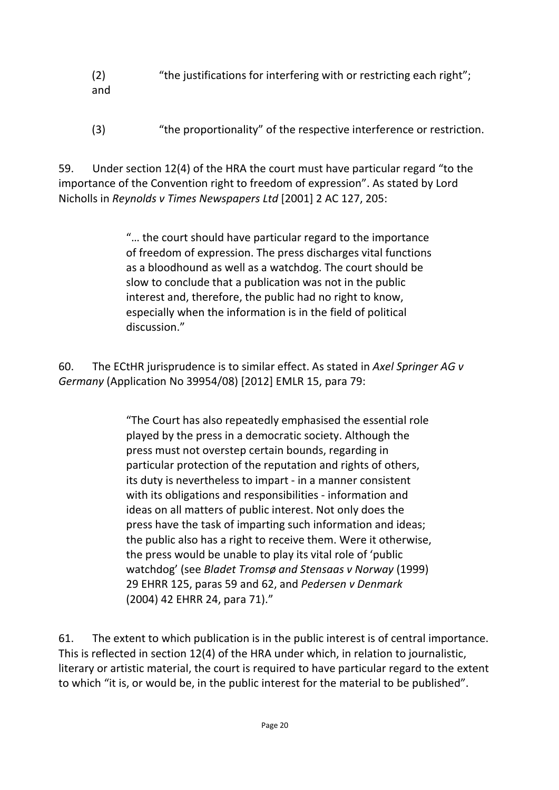- (2) "the justifications for interfering with or restricting each right"; and
- (3) "the proportionality" of the respective interference or restriction.

59. Under section 12(4) of the HRA the court must have particular regard "to the importance of the Convention right to freedom of expression". As stated by Lord Nicholls in *Reynolds v Times Newspapers Ltd* [2001] 2 AC 127, 205:

> "… the court should have particular regard to the importance of freedom of expression. The press discharges vital functions as a bloodhound as well as a watchdog. The court should be slow to conclude that a publication was not in the public interest and, therefore, the public had no right to know, especially when the information is in the field of political discussion."

60. The ECtHR jurisprudence is to similar effect. As stated in *Axel Springer AG v Germany* (Application No 39954/08) [2012] EMLR 15, para 79:

> "The Court has also repeatedly emphasised the essential role played by the press in a democratic society. Although the press must not overstep certain bounds, regarding in particular protection of the reputation and rights of others, its duty is nevertheless to impart - in a manner consistent with its obligations and responsibilities - information and ideas on all matters of public interest. Not only does the press have the task of imparting such information and ideas; the public also has a right to receive them. Were it otherwise, the press would be unable to play its vital role of 'public watchdog' (see *Bladet Tromsø and Stensaas v Norway* (1999) 29 EHRR 125, paras 59 and 62, and *Pedersen v Denmark* (2004) 42 EHRR 24, para 71)."

61. The extent to which publication is in the public interest is of central importance. This is reflected in section 12(4) of the HRA under which, in relation to journalistic, literary or artistic material, the court is required to have particular regard to the extent to which "it is, or would be, in the public interest for the material to be published".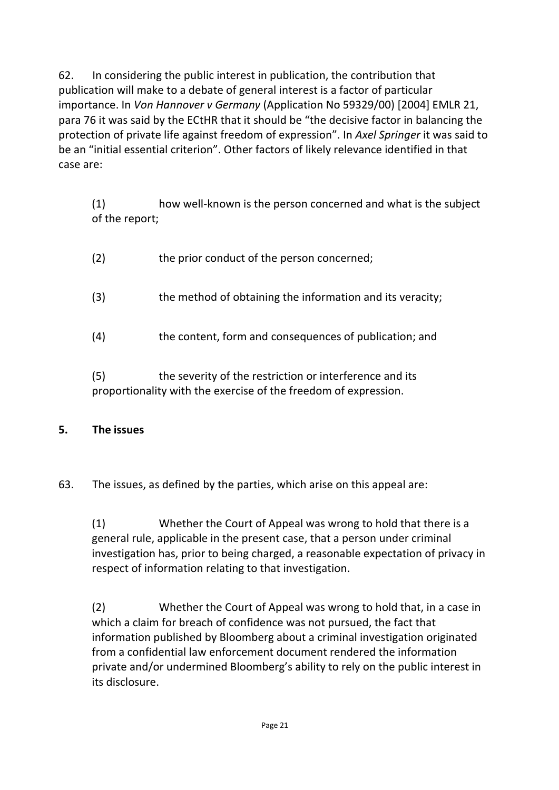62. In considering the public interest in publication, the contribution that publication will make to a debate of general interest is a factor of particular importance. In *Von Hannover v Germany* (Application No 59329/00) [2004] EMLR 21, para 76 it was said by the ECtHR that it should be "the decisive factor in balancing the protection of private life against freedom of expression". In *Axel Springer* it was said to be an "initial essential criterion". Other factors of likely relevance identified in that case are:

(1) how well-known is the person concerned and what is the subject of the report;

| (2) | the prior conduct of the person concerned;                |
|-----|-----------------------------------------------------------|
| (3) | the method of obtaining the information and its veracity; |
| (4) | the content, form and consequences of publication; and    |
|     |                                                           |

(5) the severity of the restriction or interference and its proportionality with the exercise of the freedom of expression.

## **5. The issues**

63. The issues, as defined by the parties, which arise on this appeal are:

(1) Whether the Court of Appeal was wrong to hold that there is a general rule, applicable in the present case, that a person under criminal investigation has, prior to being charged, a reasonable expectation of privacy in respect of information relating to that investigation.

(2) Whether the Court of Appeal was wrong to hold that, in a case in which a claim for breach of confidence was not pursued, the fact that information published by Bloomberg about a criminal investigation originated from a confidential law enforcement document rendered the information private and/or undermined Bloomberg's ability to rely on the public interest in its disclosure.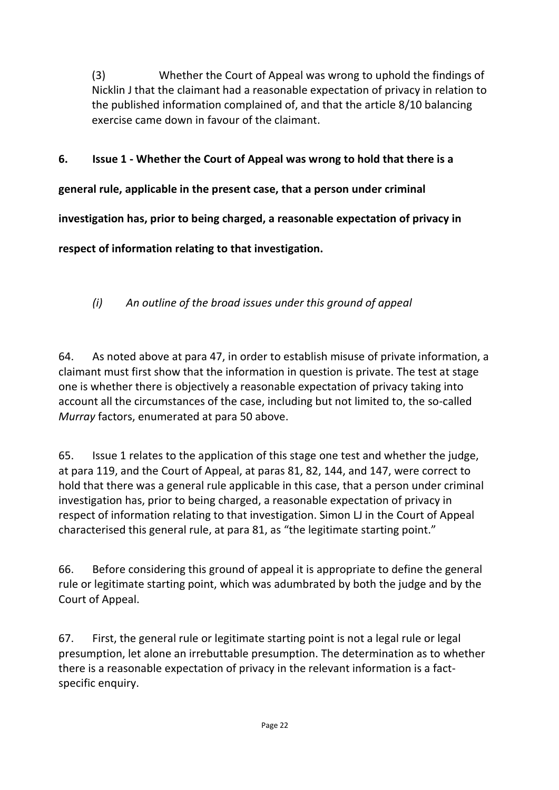(3) Whether the Court of Appeal was wrong to uphold the findings of Nicklin J that the claimant had a reasonable expectation of privacy in relation to the published information complained of, and that the article 8/10 balancing exercise came down in favour of the claimant.

## **6. Issue 1 - Whether the Court of Appeal was wrong to hold that there is a**

**general rule, applicable in the present case, that a person under criminal** 

**investigation has, prior to being charged, a reasonable expectation of privacy in** 

**respect of information relating to that investigation.**

*(i) An outline of the broad issues under this ground of appeal*

64. As noted above at para 47, in order to establish misuse of private information, a claimant must first show that the information in question is private. The test at stage one is whether there is objectively a reasonable expectation of privacy taking into account all the circumstances of the case, including but not limited to, the so-called *Murray* factors, enumerated at para 50 above.

65. Issue 1 relates to the application of this stage one test and whether the judge, at para 119, and the Court of Appeal, at paras 81, 82, 144, and 147, were correct to hold that there was a general rule applicable in this case, that a person under criminal investigation has, prior to being charged, a reasonable expectation of privacy in respect of information relating to that investigation. Simon LJ in the Court of Appeal characterised this general rule, at para 81, as "the legitimate starting point."

66. Before considering this ground of appeal it is appropriate to define the general rule or legitimate starting point, which was adumbrated by both the judge and by the Court of Appeal.

67. First, the general rule or legitimate starting point is not a legal rule or legal presumption, let alone an irrebuttable presumption. The determination as to whether there is a reasonable expectation of privacy in the relevant information is a factspecific enquiry.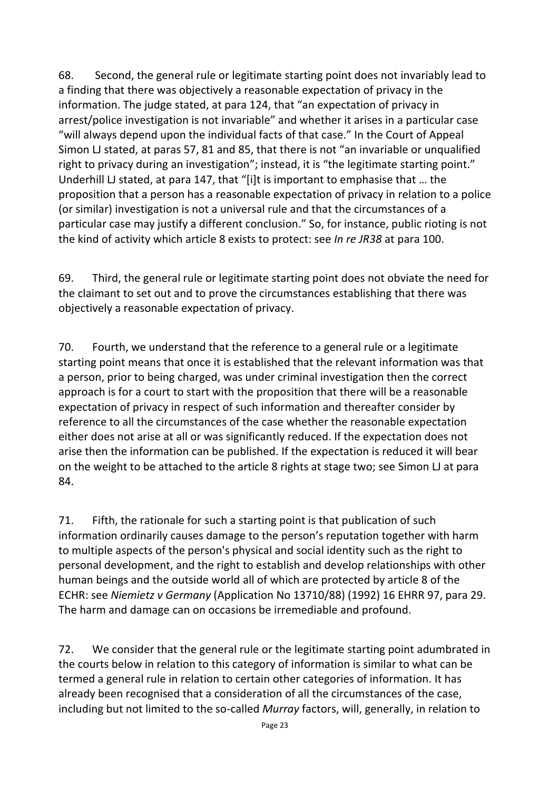68. Second, the general rule or legitimate starting point does not invariably lead to a finding that there was objectively a reasonable expectation of privacy in the information. The judge stated, at para 124, that "an expectation of privacy in arrest/police investigation is not invariable" and whether it arises in a particular case "will always depend upon the individual facts of that case." In the Court of Appeal Simon LJ stated, at paras 57, 81 and 85, that there is not "an invariable or unqualified right to privacy during an investigation"; instead, it is "the legitimate starting point." Underhill LJ stated, at para 147, that "[i]t is important to emphasise that … the proposition that a person has a reasonable expectation of privacy in relation to a police (or similar) investigation is not a universal rule and that the circumstances of a particular case may justify a different conclusion." So, for instance, public rioting is not the kind of activity which article 8 exists to protect: see *In re JR38* at para 100.

69. Third, the general rule or legitimate starting point does not obviate the need for the claimant to set out and to prove the circumstances establishing that there was objectively a reasonable expectation of privacy.

70. Fourth, we understand that the reference to a general rule or a legitimate starting point means that once it is established that the relevant information was that a person, prior to being charged, was under criminal investigation then the correct approach is for a court to start with the proposition that there will be a reasonable expectation of privacy in respect of such information and thereafter consider by reference to all the circumstances of the case whether the reasonable expectation either does not arise at all or was significantly reduced. If the expectation does not arise then the information can be published. If the expectation is reduced it will bear on the weight to be attached to the article 8 rights at stage two; see Simon LJ at para 84.

71. Fifth, the rationale for such a starting point is that publication of such information ordinarily causes damage to the person's reputation together with harm to multiple aspects of the person's physical and social identity such as the right to personal development, and the right to establish and develop relationships with other human beings and the outside world all of which are protected by article 8 of the ECHR: see *Niemietz v Germany* (Application No 13710/88) (1992) 16 EHRR 97, para 29. The harm and damage can on occasions be irremediable and profound.

72. We consider that the general rule or the legitimate starting point adumbrated in the courts below in relation to this category of information is similar to what can be termed a general rule in relation to certain other categories of information. It has already been recognised that a consideration of all the circumstances of the case, including but not limited to the so-called *Murray* factors, will, generally, in relation to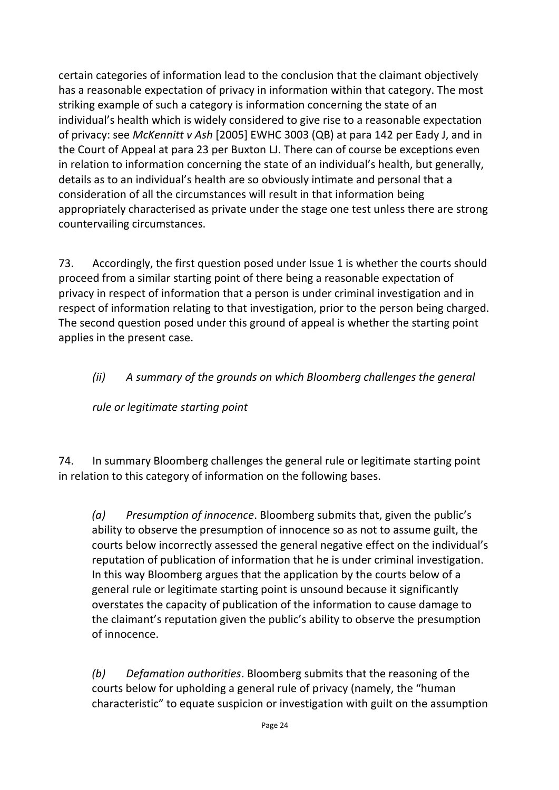certain categories of information lead to the conclusion that the claimant objectively has a reasonable expectation of privacy in information within that category. The most striking example of such a category is information concerning the state of an individual's health which is widely considered to give rise to a reasonable expectation of privacy: see *McKennitt v Ash* [2005] EWHC 3003 (QB) at para 142 per Eady J, and in the Court of Appeal at para 23 per Buxton LJ. There can of course be exceptions even in relation to information concerning the state of an individual's health, but generally, details as to an individual's health are so obviously intimate and personal that a consideration of all the circumstances will result in that information being appropriately characterised as private under the stage one test unless there are strong countervailing circumstances.

73. Accordingly, the first question posed under Issue 1 is whether the courts should proceed from a similar starting point of there being a reasonable expectation of privacy in respect of information that a person is under criminal investigation and in respect of information relating to that investigation, prior to the person being charged. The second question posed under this ground of appeal is whether the starting point applies in the present case.

## *(ii) A summary of the grounds on which Bloomberg challenges the general*

*rule or legitimate starting point*

74. In summary Bloomberg challenges the general rule or legitimate starting point in relation to this category of information on the following bases.

*(a) Presumption of innocence*. Bloomberg submits that, given the public's ability to observe the presumption of innocence so as not to assume guilt, the courts below incorrectly assessed the general negative effect on the individual's reputation of publication of information that he is under criminal investigation. In this way Bloomberg argues that the application by the courts below of a general rule or legitimate starting point is unsound because it significantly overstates the capacity of publication of the information to cause damage to the claimant's reputation given the public's ability to observe the presumption of innocence.

*(b) Defamation authorities*. Bloomberg submits that the reasoning of the courts below for upholding a general rule of privacy (namely, the "human characteristic" to equate suspicion or investigation with guilt on the assumption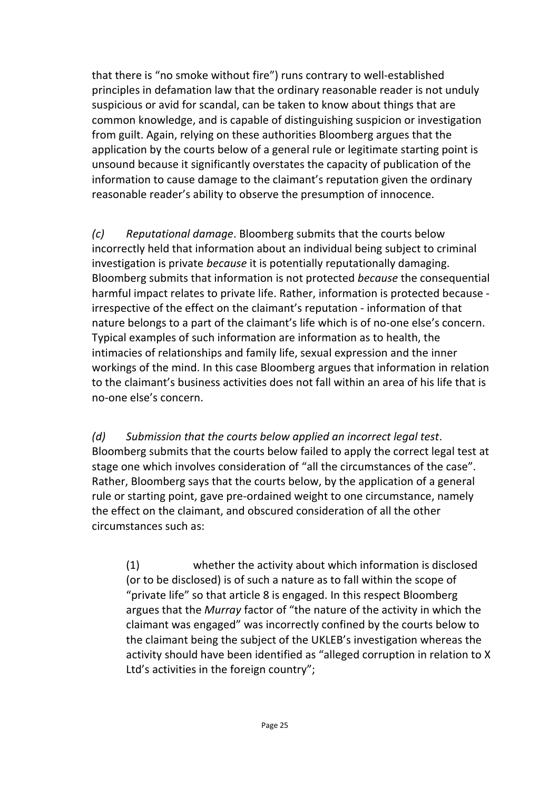that there is "no smoke without fire") runs contrary to well-established principles in defamation law that the ordinary reasonable reader is not unduly suspicious or avid for scandal, can be taken to know about things that are common knowledge, and is capable of distinguishing suspicion or investigation from guilt. Again, relying on these authorities Bloomberg argues that the application by the courts below of a general rule or legitimate starting point is unsound because it significantly overstates the capacity of publication of the information to cause damage to the claimant's reputation given the ordinary reasonable reader's ability to observe the presumption of innocence.

*(c) Reputational damage*. Bloomberg submits that the courts below incorrectly held that information about an individual being subject to criminal investigation is private *because* it is potentially reputationally damaging. Bloomberg submits that information is not protected *because* the consequential harmful impact relates to private life. Rather, information is protected because irrespective of the effect on the claimant's reputation - information of that nature belongs to a part of the claimant's life which is of no-one else's concern. Typical examples of such information are information as to health, the intimacies of relationships and family life, sexual expression and the inner workings of the mind. In this case Bloomberg argues that information in relation to the claimant's business activities does not fall within an area of his life that is no-one else's concern.

*(d) Submission that the courts below applied an incorrect legal test*. Bloomberg submits that the courts below failed to apply the correct legal test at stage one which involves consideration of "all the circumstances of the case". Rather, Bloomberg says that the courts below, by the application of a general rule or starting point, gave pre-ordained weight to one circumstance, namely the effect on the claimant, and obscured consideration of all the other circumstances such as:

(1) whether the activity about which information is disclosed (or to be disclosed) is of such a nature as to fall within the scope of "private life" so that article 8 is engaged. In this respect Bloomberg argues that the *Murray* factor of "the nature of the activity in which the claimant was engaged" was incorrectly confined by the courts below to the claimant being the subject of the UKLEB's investigation whereas the activity should have been identified as "alleged corruption in relation to X Ltd's activities in the foreign country";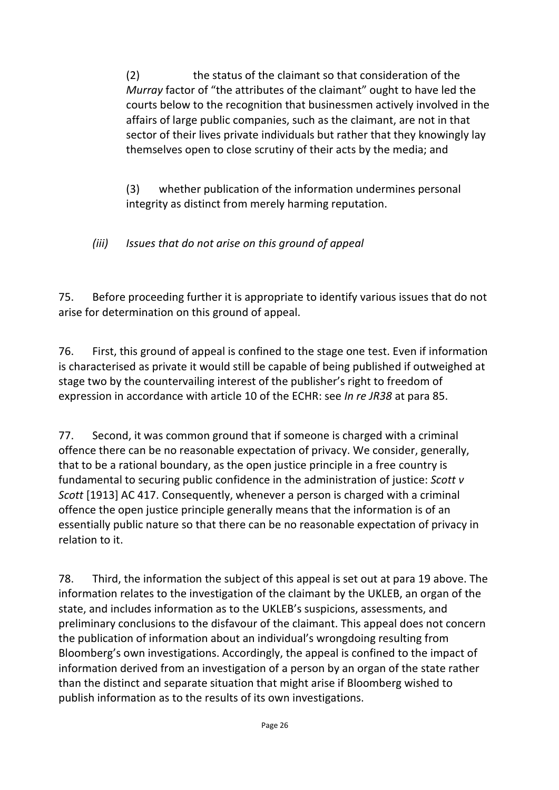(2) the status of the claimant so that consideration of the *Murray* factor of "the attributes of the claimant" ought to have led the courts below to the recognition that businessmen actively involved in the affairs of large public companies, such as the claimant, are not in that sector of their lives private individuals but rather that they knowingly lay themselves open to close scrutiny of their acts by the media; and

(3) whether publication of the information undermines personal integrity as distinct from merely harming reputation.

*(iii) Issues that do not arise on this ground of appeal*

75. Before proceeding further it is appropriate to identify various issues that do not arise for determination on this ground of appeal.

76. First, this ground of appeal is confined to the stage one test. Even if information is characterised as private it would still be capable of being published if outweighed at stage two by the countervailing interest of the publisher's right to freedom of expression in accordance with article 10 of the ECHR: see *In re JR38* at para 85.

77. Second, it was common ground that if someone is charged with a criminal offence there can be no reasonable expectation of privacy. We consider, generally, that to be a rational boundary, as the open justice principle in a free country is fundamental to securing public confidence in the administration of justice: *Scott v Scott* [1913] AC 417. Consequently, whenever a person is charged with a criminal offence the open justice principle generally means that the information is of an essentially public nature so that there can be no reasonable expectation of privacy in relation to it.

78. Third, the information the subject of this appeal is set out at para 19 above. The information relates to the investigation of the claimant by the UKLEB, an organ of the state, and includes information as to the UKLEB's suspicions, assessments, and preliminary conclusions to the disfavour of the claimant. This appeal does not concern the publication of information about an individual's wrongdoing resulting from Bloomberg's own investigations. Accordingly, the appeal is confined to the impact of information derived from an investigation of a person by an organ of the state rather than the distinct and separate situation that might arise if Bloomberg wished to publish information as to the results of its own investigations.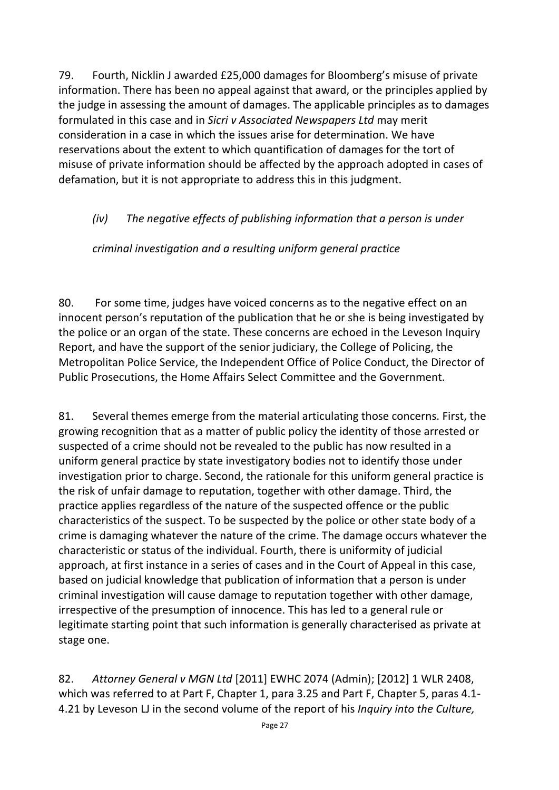79. Fourth, Nicklin J awarded £25,000 damages for Bloomberg's misuse of private information. There has been no appeal against that award, or the principles applied by the judge in assessing the amount of damages. The applicable principles as to damages formulated in this case and in *Sicri v Associated Newspapers Ltd* may merit consideration in a case in which the issues arise for determination. We have reservations about the extent to which quantification of damages for the tort of misuse of private information should be affected by the approach adopted in cases of defamation, but it is not appropriate to address this in this judgment.

## *(iv) The negative effects of publishing information that a person is under*

## *criminal investigation and a resulting uniform general practice*

80. For some time, judges have voiced concerns as to the negative effect on an innocent person's reputation of the publication that he or she is being investigated by the police or an organ of the state. These concerns are echoed in the Leveson Inquiry Report, and have the support of the senior judiciary, the College of Policing, the Metropolitan Police Service, the Independent Office of Police Conduct, the Director of Public Prosecutions, the Home Affairs Select Committee and the Government.

81. Several themes emerge from the material articulating those concerns. First, the growing recognition that as a matter of public policy the identity of those arrested or suspected of a crime should not be revealed to the public has now resulted in a uniform general practice by state investigatory bodies not to identify those under investigation prior to charge. Second, the rationale for this uniform general practice is the risk of unfair damage to reputation, together with other damage. Third, the practice applies regardless of the nature of the suspected offence or the public characteristics of the suspect. To be suspected by the police or other state body of a crime is damaging whatever the nature of the crime. The damage occurs whatever the characteristic or status of the individual. Fourth, there is uniformity of judicial approach, at first instance in a series of cases and in the Court of Appeal in this case, based on judicial knowledge that publication of information that a person is under criminal investigation will cause damage to reputation together with other damage, irrespective of the presumption of innocence. This has led to a general rule or legitimate starting point that such information is generally characterised as private at stage one.

82. *Attorney General v MGN Ltd* [2011] EWHC 2074 (Admin); [2012] 1 WLR 2408, which was referred to at Part F, Chapter 1, para 3.25 and Part F, Chapter 5, paras 4.1- 4.21 by Leveson LJ in the second volume of the report of his *Inquiry into the Culture,*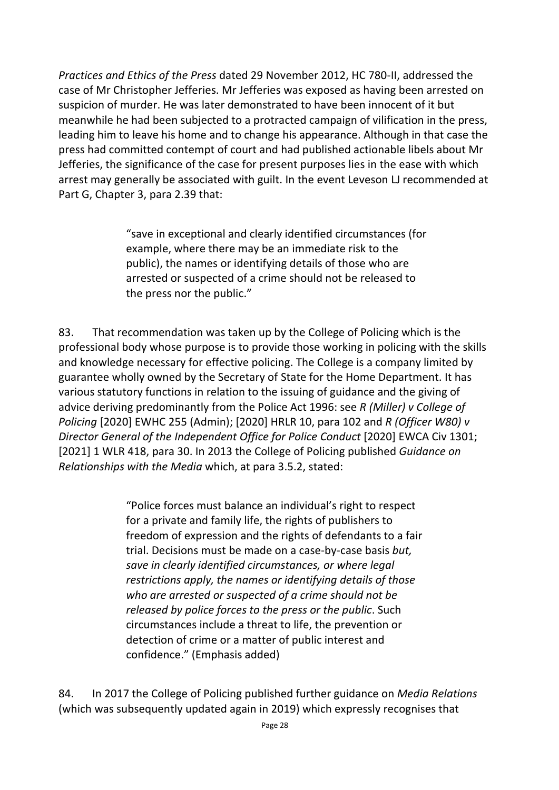*Practices and Ethics of the Press* dated 29 November 2012, HC 780-II, addressed the case of Mr Christopher Jefferies. Mr Jefferies was exposed as having been arrested on suspicion of murder. He was later demonstrated to have been innocent of it but meanwhile he had been subjected to a protracted campaign of vilification in the press, leading him to leave his home and to change his appearance. Although in that case the press had committed contempt of court and had published actionable libels about Mr Jefferies, the significance of the case for present purposes lies in the ease with which arrest may generally be associated with guilt. In the event Leveson LJ recommended at Part G, Chapter 3, para 2.39 that:

> "save in exceptional and clearly identified circumstances (for example, where there may be an immediate risk to the public), the names or identifying details of those who are arrested or suspected of a crime should not be released to the press nor the public."

83. That recommendation was taken up by the College of Policing which is the professional body whose purpose is to provide those working in policing with the skills and knowledge necessary for effective policing. The College is a company limited by guarantee wholly owned by the Secretary of State for the Home Department. It has various statutory functions in relation to the issuing of guidance and the giving of advice deriving predominantly from the Police Act 1996: see *R (Miller) v College of Policing* [2020] EWHC 255 (Admin); [2020] HRLR 10, para 102 and *R (Officer W80) v Director General of the Independent Office for Police Conduct* [2020] EWCA Civ 1301; [2021] 1 WLR 418, para 30. In 2013 the College of Policing published *Guidance on Relationships with the Media* which, at para 3.5.2, stated:

> "Police forces must balance an individual's right to respect for a private and family life, the rights of publishers to freedom of expression and the rights of defendants to a fair trial. Decisions must be made on a case-by-case basis *but, save in clearly identified circumstances, or where legal restrictions apply, the names or identifying details of those who are arrested or suspected of a crime should not be released by police forces to the press or the public*. Such circumstances include a threat to life, the prevention or detection of crime or a matter of public interest and confidence." (Emphasis added)

84. In 2017 the College of Policing published further guidance on *Media Relations*  (which was subsequently updated again in 2019) which expressly recognises that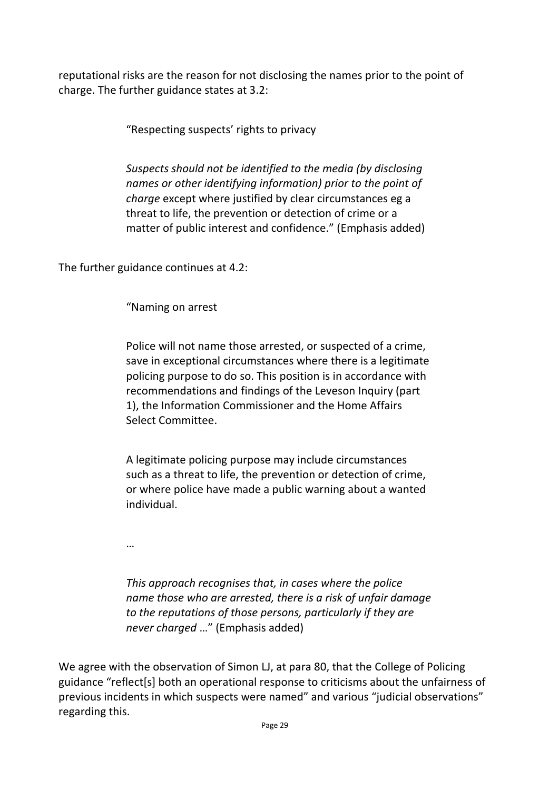reputational risks are the reason for not disclosing the names prior to the point of charge. The further guidance states at 3.2:

"Respecting suspects' rights to privacy

*Suspects should not be identified to the media (by disclosing names or other identifying information) prior to the point of charge* except where justified by clear circumstances eg a threat to life, the prevention or detection of crime or a matter of public interest and confidence." (Emphasis added)

The further guidance continues at 4.2:

"Naming on arrest

Police will not name those arrested, or suspected of a crime, save in exceptional circumstances where there is a legitimate policing purpose to do so. This position is in accordance with recommendations and findings of the Leveson Inquiry (part 1), the Information Commissioner and the Home Affairs Select Committee.

A legitimate policing purpose may include circumstances such as a threat to life, the prevention or detection of crime, or where police have made a public warning about a wanted individual.

…

*This approach recognises that, in cases where the police name those who are arrested, there is a risk of unfair damage to the reputations of those persons, particularly if they are never charged* …" (Emphasis added)

We agree with the observation of Simon LJ, at para 80, that the College of Policing guidance "reflect[s] both an operational response to criticisms about the unfairness of previous incidents in which suspects were named" and various "judicial observations" regarding this.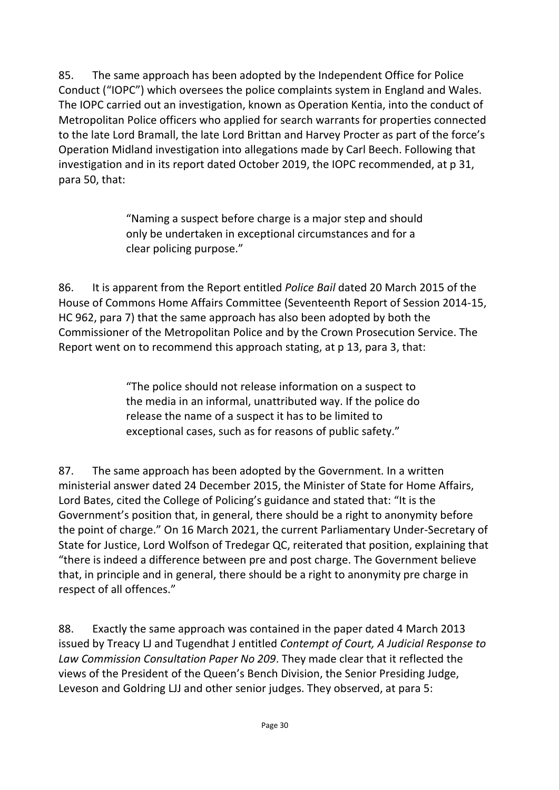85. The same approach has been adopted by the Independent Office for Police Conduct ("IOPC") which oversees the police complaints system in England and Wales. The IOPC carried out an investigation, known as Operation Kentia, into the conduct of Metropolitan Police officers who applied for search warrants for properties connected to the late Lord Bramall, the late Lord Brittan and Harvey Procter as part of the force's Operation Midland investigation into allegations made by Carl Beech. Following that investigation and in its report dated October 2019, the IOPC recommended, at p 31, para 50, that:

> "Naming a suspect before charge is a major step and should only be undertaken in exceptional circumstances and for a clear policing purpose."

86. It is apparent from the Report entitled *Police Bail* dated 20 March 2015 of the House of Commons Home Affairs Committee (Seventeenth Report of Session 2014-15, HC 962, para 7) that the same approach has also been adopted by both the Commissioner of the Metropolitan Police and by the Crown Prosecution Service. The Report went on to recommend this approach stating, at p 13, para 3, that:

> "The police should not release information on a suspect to the media in an informal, unattributed way. If the police do release the name of a suspect it has to be limited to exceptional cases, such as for reasons of public safety."

87. The same approach has been adopted by the Government. In a written ministerial answer dated 24 December 2015, the Minister of State for Home Affairs, Lord Bates, cited the College of Policing's guidance and stated that: "It is the Government's position that, in general, there should be a right to anonymity before the point of charge." On 16 March 2021, the current Parliamentary Under-Secretary of State for Justice, Lord Wolfson of Tredegar QC, reiterated that position, explaining that "there is indeed a difference between pre and post charge. The Government believe that, in principle and in general, there should be a right to anonymity pre charge in respect of all offences."

88. Exactly the same approach was contained in the paper dated 4 March 2013 issued by Treacy LJ and Tugendhat J entitled *Contempt of Court, A Judicial Response to Law Commission Consultation Paper No 209*. They made clear that it reflected the views of the President of the Queen's Bench Division, the Senior Presiding Judge, Leveson and Goldring LJJ and other senior judges. They observed, at para 5: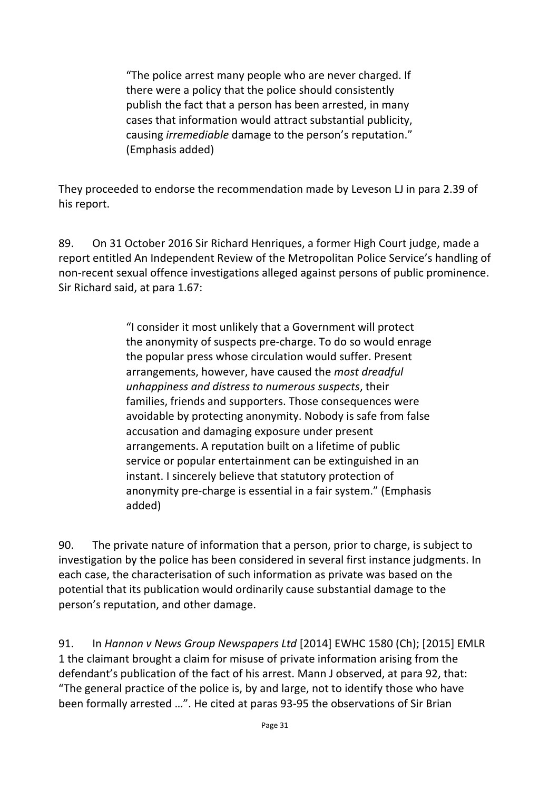"The police arrest many people who are never charged. If there were a policy that the police should consistently publish the fact that a person has been arrested, in many cases that information would attract substantial publicity, causing *irremediable* damage to the person's reputation." (Emphasis added)

They proceeded to endorse the recommendation made by Leveson LJ in para 2.39 of his report.

89. On 31 October 2016 Sir Richard Henriques, a former High Court judge, made a report entitled An Independent Review of the Metropolitan Police Service's handling of non-recent sexual offence investigations alleged against persons of public prominence. Sir Richard said, at para 1.67:

> "I consider it most unlikely that a Government will protect the anonymity of suspects pre-charge. To do so would enrage the popular press whose circulation would suffer. Present arrangements, however, have caused the *most dreadful unhappiness and distress to numerous suspects*, their families, friends and supporters. Those consequences were avoidable by protecting anonymity. Nobody is safe from false accusation and damaging exposure under present arrangements. A reputation built on a lifetime of public service or popular entertainment can be extinguished in an instant. I sincerely believe that statutory protection of anonymity pre-charge is essential in a fair system." (Emphasis added)

90. The private nature of information that a person, prior to charge, is subject to investigation by the police has been considered in several first instance judgments. In each case, the characterisation of such information as private was based on the potential that its publication would ordinarily cause substantial damage to the person's reputation, and other damage.

91. In *Hannon v News Group Newspapers Ltd* [2014] EWHC 1580 (Ch); [2015] EMLR 1 the claimant brought a claim for misuse of private information arising from the defendant's publication of the fact of his arrest. Mann J observed, at para 92, that: "The general practice of the police is, by and large, not to identify those who have been formally arrested …". He cited at paras 93-95 the observations of Sir Brian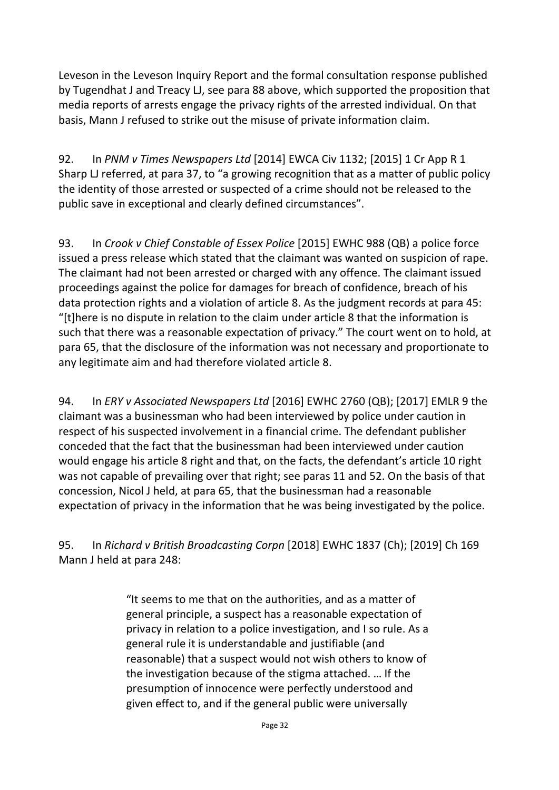Leveson in the Leveson Inquiry Report and the formal consultation response published by Tugendhat J and Treacy LJ, see para 88 above, which supported the proposition that media reports of arrests engage the privacy rights of the arrested individual. On that basis, Mann J refused to strike out the misuse of private information claim.

92. In *PNM v Times Newspapers Ltd* [2014] EWCA Civ 1132; [2015] 1 Cr App R 1 Sharp LJ referred, at para 37, to "a growing recognition that as a matter of public policy the identity of those arrested or suspected of a crime should not be released to the public save in exceptional and clearly defined circumstances".

93. In *Crook v Chief Constable of Essex Police* [2015] EWHC 988 (QB) a police force issued a press release which stated that the claimant was wanted on suspicion of rape. The claimant had not been arrested or charged with any offence. The claimant issued proceedings against the police for damages for breach of confidence, breach of his data protection rights and a violation of article 8. As the judgment records at para 45: "[t]here is no dispute in relation to the claim under article 8 that the information is such that there was a reasonable expectation of privacy." The court went on to hold, at para 65, that the disclosure of the information was not necessary and proportionate to any legitimate aim and had therefore violated article 8.

94. In *ERY v Associated Newspapers Ltd* [2016] EWHC 2760 (QB); [2017] EMLR 9 the claimant was a businessman who had been interviewed by police under caution in respect of his suspected involvement in a financial crime. The defendant publisher conceded that the fact that the businessman had been interviewed under caution would engage his article 8 right and that, on the facts, the defendant's article 10 right was not capable of prevailing over that right; see paras 11 and 52. On the basis of that concession, Nicol J held, at para 65, that the businessman had a reasonable expectation of privacy in the information that he was being investigated by the police.

95. In *Richard v British Broadcasting Corpn* [2018] EWHC 1837 (Ch); [2019] Ch 169 Mann J held at para 248:

> "It seems to me that on the authorities, and as a matter of general principle, a suspect has a reasonable expectation of privacy in relation to a police investigation, and I so rule. As a general rule it is understandable and justifiable (and reasonable) that a suspect would not wish others to know of the investigation because of the stigma attached. … If the presumption of innocence were perfectly understood and given effect to, and if the general public were universally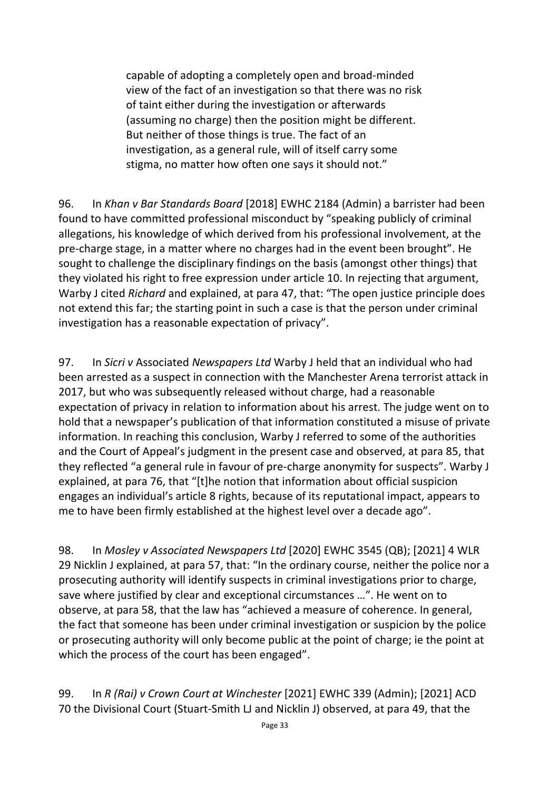capable of adopting a completely open and broad-minded view of the fact of an investigation so that there was no risk of taint either during the investigation or afterwards (assuming no charge) then the position might be different. But neither of those things is true. The fact of an investigation, as a general rule, will of itself carry some stigma, no matter how often one says it should not."

96. In *Khan v Bar Standards Board* [2018] EWHC 2184 (Admin) a barrister had been found to have committed professional misconduct by "speaking publicly of criminal allegations, his knowledge of which derived from his professional involvement, at the pre-charge stage, in a matter where no charges had in the event been brought". He sought to challenge the disciplinary findings on the basis (amongst other things) that they violated his right to free expression under article 10. In rejecting that argument, Warby J cited *Richard* and explained, at para 47, that: "The open justice principle does not extend this far; the starting point in such a case is that the person under criminal investigation has a reasonable expectation of privacy".

97. In *Sicri v* Associated *Newspapers Ltd* Warby J held that an individual who had been arrested as a suspect in connection with the Manchester Arena terrorist attack in 2017, but who was subsequently released without charge, had a reasonable expectation of privacy in relation to information about his arrest. The judge went on to hold that a newspaper's publication of that information constituted a misuse of private information. In reaching this conclusion, Warby J referred to some of the authorities and the Court of Appeal's judgment in the present case and observed, at para 85, that they reflected "a general rule in favour of pre-charge anonymity for suspects". Warby J explained, at para 76, that "[t]he notion that information about official suspicion engages an individual's article 8 rights, because of its reputational impact, appears to me to have been firmly established at the highest level over a decade ago".

98. In *Mosley v Associated Newspapers Ltd* [2020] EWHC 3545 (QB); [2021] 4 WLR 29 Nicklin J explained, at para 57, that: "In the ordinary course, neither the police nor a prosecuting authority will identify suspects in criminal investigations prior to charge, save where justified by clear and exceptional circumstances …". He went on to observe, at para 58, that the law has "achieved a measure of coherence. In general, the fact that someone has been under criminal investigation or suspicion by the police or prosecuting authority will only become public at the point of charge; ie the point at which the process of the court has been engaged".

99. In *R (Rai) v Crown Court at Winchester* [2021] EWHC 339 (Admin); [2021] ACD 70 the Divisional Court (Stuart-Smith LJ and Nicklin J) observed, at para 49, that the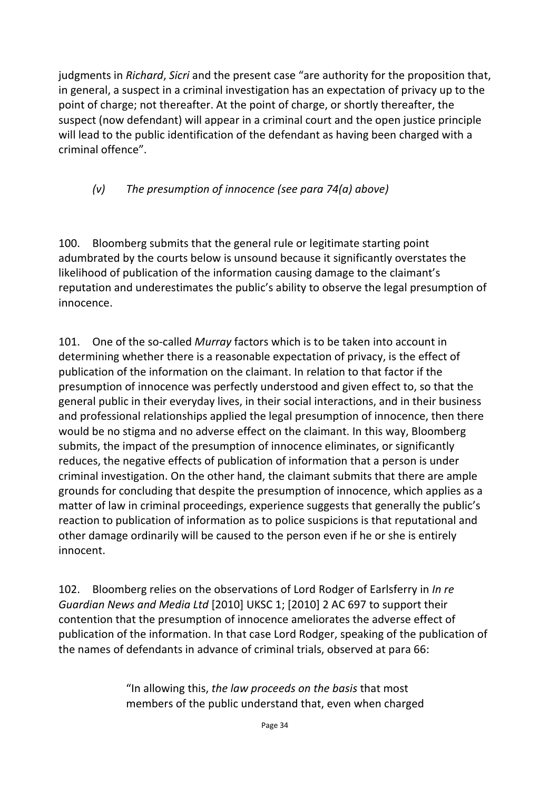judgments in *Richard*, *Sicri* and the present case "are authority for the proposition that, in general, a suspect in a criminal investigation has an expectation of privacy up to the point of charge; not thereafter. At the point of charge, or shortly thereafter, the suspect (now defendant) will appear in a criminal court and the open justice principle will lead to the public identification of the defendant as having been charged with a criminal offence".

## *(v) The presumption of innocence (see para 74(a) above)*

100. Bloomberg submits that the general rule or legitimate starting point adumbrated by the courts below is unsound because it significantly overstates the likelihood of publication of the information causing damage to the claimant's reputation and underestimates the public's ability to observe the legal presumption of innocence.

101. One of the so-called *Murray* factors which is to be taken into account in determining whether there is a reasonable expectation of privacy, is the effect of publication of the information on the claimant. In relation to that factor if the presumption of innocence was perfectly understood and given effect to, so that the general public in their everyday lives, in their social interactions, and in their business and professional relationships applied the legal presumption of innocence, then there would be no stigma and no adverse effect on the claimant. In this way, Bloomberg submits, the impact of the presumption of innocence eliminates, or significantly reduces, the negative effects of publication of information that a person is under criminal investigation. On the other hand, the claimant submits that there are ample grounds for concluding that despite the presumption of innocence, which applies as a matter of law in criminal proceedings, experience suggests that generally the public's reaction to publication of information as to police suspicions is that reputational and other damage ordinarily will be caused to the person even if he or she is entirely innocent.

102. Bloomberg relies on the observations of Lord Rodger of Earlsferry in *In re Guardian News and Media Ltd* [2010] UKSC 1; [2010] 2 AC 697 to support their contention that the presumption of innocence ameliorates the adverse effect of publication of the information. In that case Lord Rodger, speaking of the publication of the names of defendants in advance of criminal trials, observed at para 66:

> "In allowing this, *the law proceeds on the basis* that most members of the public understand that, even when charged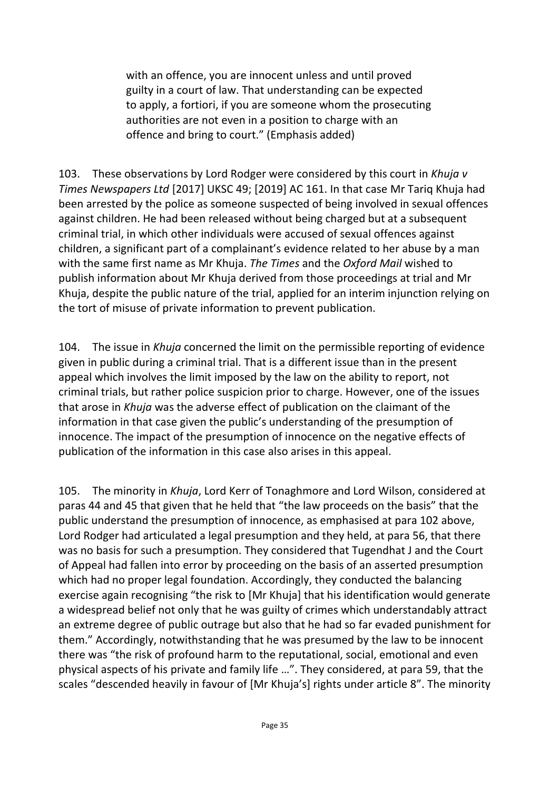with an offence, you are innocent unless and until proved guilty in a court of law. That understanding can be expected to apply, a fortiori, if you are someone whom the prosecuting authorities are not even in a position to charge with an offence and bring to court." (Emphasis added)

103. These observations by Lord Rodger were considered by this court in *Khuja v Times Newspapers Ltd* [2017] UKSC 49; [2019] AC 161. In that case Mr Tariq Khuja had been arrested by the police as someone suspected of being involved in sexual offences against children. He had been released without being charged but at a subsequent criminal trial, in which other individuals were accused of sexual offences against children, a significant part of a complainant's evidence related to her abuse by a man with the same first name as Mr Khuja. *The Times* and the *Oxford Mail* wished to publish information about Mr Khuja derived from those proceedings at trial and Mr Khuja, despite the public nature of the trial, applied for an interim injunction relying on the tort of misuse of private information to prevent publication.

104. The issue in *Khuja* concerned the limit on the permissible reporting of evidence given in public during a criminal trial. That is a different issue than in the present appeal which involves the limit imposed by the law on the ability to report, not criminal trials, but rather police suspicion prior to charge. However, one of the issues that arose in *Khuja* was the adverse effect of publication on the claimant of the information in that case given the public's understanding of the presumption of innocence. The impact of the presumption of innocence on the negative effects of publication of the information in this case also arises in this appeal.

105. The minority in *Khuja*, Lord Kerr of Tonaghmore and Lord Wilson, considered at paras 44 and 45 that given that he held that "the law proceeds on the basis" that the public understand the presumption of innocence, as emphasised at para 102 above, Lord Rodger had articulated a legal presumption and they held, at para 56, that there was no basis for such a presumption. They considered that Tugendhat J and the Court of Appeal had fallen into error by proceeding on the basis of an asserted presumption which had no proper legal foundation. Accordingly, they conducted the balancing exercise again recognising "the risk to [Mr Khuja] that his identification would generate a widespread belief not only that he was guilty of crimes which understandably attract an extreme degree of public outrage but also that he had so far evaded punishment for them." Accordingly, notwithstanding that he was presumed by the law to be innocent there was "the risk of profound harm to the reputational, social, emotional and even physical aspects of his private and family life …". They considered, at para 59, that the scales "descended heavily in favour of [Mr Khuja's] rights under article 8". The minority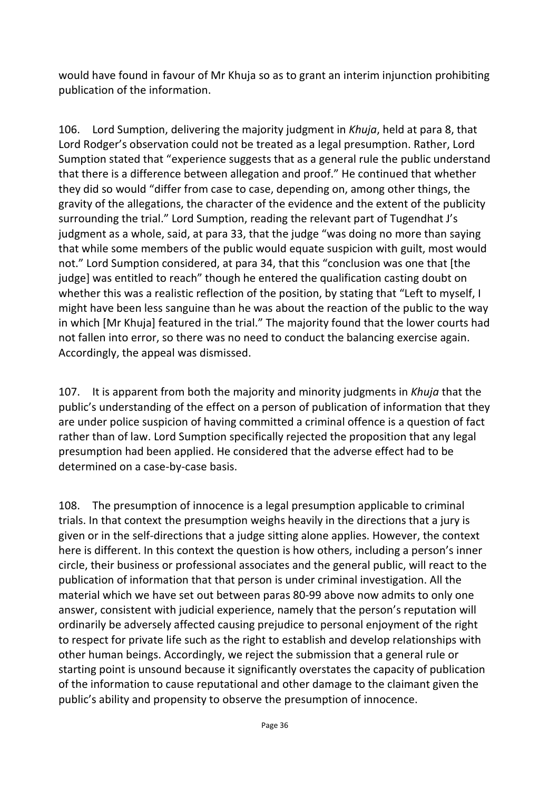would have found in favour of Mr Khuja so as to grant an interim injunction prohibiting publication of the information.

106. Lord Sumption, delivering the majority judgment in *Khuja*, held at para 8, that Lord Rodger's observation could not be treated as a legal presumption. Rather, Lord Sumption stated that "experience suggests that as a general rule the public understand that there is a difference between allegation and proof." He continued that whether they did so would "differ from case to case, depending on, among other things, the gravity of the allegations, the character of the evidence and the extent of the publicity surrounding the trial." Lord Sumption, reading the relevant part of Tugendhat J's judgment as a whole, said, at para 33, that the judge "was doing no more than saying that while some members of the public would equate suspicion with guilt, most would not." Lord Sumption considered, at para 34, that this "conclusion was one that [the judge] was entitled to reach" though he entered the qualification casting doubt on whether this was a realistic reflection of the position, by stating that "Left to myself, I might have been less sanguine than he was about the reaction of the public to the way in which [Mr Khuja] featured in the trial." The majority found that the lower courts had not fallen into error, so there was no need to conduct the balancing exercise again. Accordingly, the appeal was dismissed.

107. It is apparent from both the majority and minority judgments in *Khuja* that the public's understanding of the effect on a person of publication of information that they are under police suspicion of having committed a criminal offence is a question of fact rather than of law. Lord Sumption specifically rejected the proposition that any legal presumption had been applied. He considered that the adverse effect had to be determined on a case-by-case basis.

108. The presumption of innocence is a legal presumption applicable to criminal trials. In that context the presumption weighs heavily in the directions that a jury is given or in the self-directions that a judge sitting alone applies. However, the context here is different. In this context the question is how others, including a person's inner circle, their business or professional associates and the general public, will react to the publication of information that that person is under criminal investigation. All the material which we have set out between paras 80-99 above now admits to only one answer, consistent with judicial experience, namely that the person's reputation will ordinarily be adversely affected causing prejudice to personal enjoyment of the right to respect for private life such as the right to establish and develop relationships with other human beings. Accordingly, we reject the submission that a general rule or starting point is unsound because it significantly overstates the capacity of publication of the information to cause reputational and other damage to the claimant given the public's ability and propensity to observe the presumption of innocence.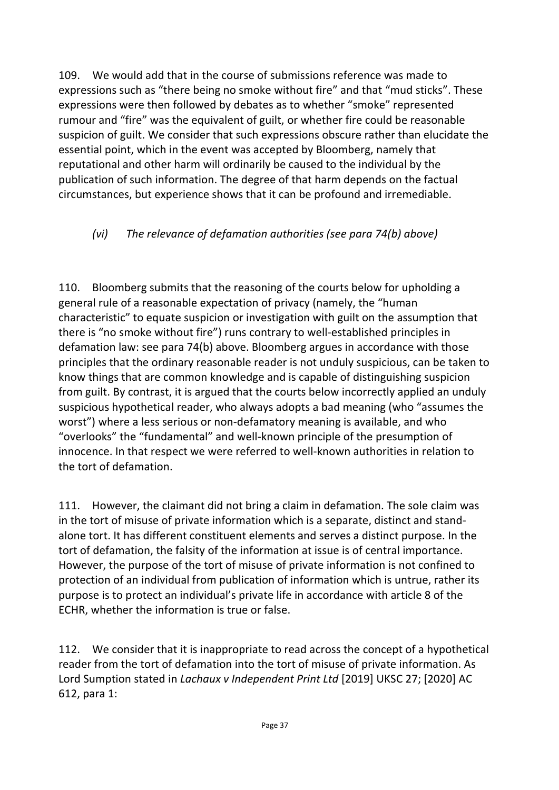109. We would add that in the course of submissions reference was made to expressions such as "there being no smoke without fire" and that "mud sticks". These expressions were then followed by debates as to whether "smoke" represented rumour and "fire" was the equivalent of guilt, or whether fire could be reasonable suspicion of guilt. We consider that such expressions obscure rather than elucidate the essential point, which in the event was accepted by Bloomberg, namely that reputational and other harm will ordinarily be caused to the individual by the publication of such information. The degree of that harm depends on the factual circumstances, but experience shows that it can be profound and irremediable.

## *(vi) The relevance of defamation authorities (see para 74(b) above)*

110. Bloomberg submits that the reasoning of the courts below for upholding a general rule of a reasonable expectation of privacy (namely, the "human characteristic" to equate suspicion or investigation with guilt on the assumption that there is "no smoke without fire") runs contrary to well-established principles in defamation law: see para 74(b) above. Bloomberg argues in accordance with those principles that the ordinary reasonable reader is not unduly suspicious, can be taken to know things that are common knowledge and is capable of distinguishing suspicion from guilt. By contrast, it is argued that the courts below incorrectly applied an unduly suspicious hypothetical reader, who always adopts a bad meaning (who "assumes the worst") where a less serious or non-defamatory meaning is available, and who "overlooks" the "fundamental" and well-known principle of the presumption of innocence. In that respect we were referred to well-known authorities in relation to the tort of defamation.

111. However, the claimant did not bring a claim in defamation. The sole claim was in the tort of misuse of private information which is a separate, distinct and standalone tort. It has different constituent elements and serves a distinct purpose. In the tort of defamation, the falsity of the information at issue is of central importance. However, the purpose of the tort of misuse of private information is not confined to protection of an individual from publication of information which is untrue, rather its purpose is to protect an individual's private life in accordance with article 8 of the ECHR, whether the information is true or false.

112. We consider that it is inappropriate to read across the concept of a hypothetical reader from the tort of defamation into the tort of misuse of private information. As Lord Sumption stated in *Lachaux v Independent Print Ltd* [2019] UKSC 27; [2020] AC 612, para 1: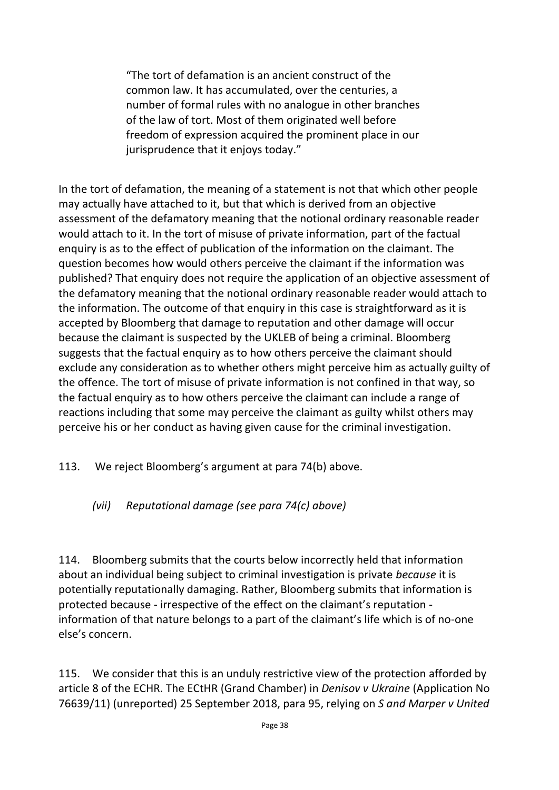"The tort of defamation is an ancient construct of the common law. It has accumulated, over the centuries, a number of formal rules with no analogue in other branches of the law of tort. Most of them originated well before freedom of expression acquired the prominent place in our jurisprudence that it enjoys today."

In the tort of defamation, the meaning of a statement is not that which other people may actually have attached to it, but that which is derived from an objective assessment of the defamatory meaning that the notional ordinary reasonable reader would attach to it. In the tort of misuse of private information, part of the factual enquiry is as to the effect of publication of the information on the claimant. The question becomes how would others perceive the claimant if the information was published? That enquiry does not require the application of an objective assessment of the defamatory meaning that the notional ordinary reasonable reader would attach to the information. The outcome of that enquiry in this case is straightforward as it is accepted by Bloomberg that damage to reputation and other damage will occur because the claimant is suspected by the UKLEB of being a criminal. Bloomberg suggests that the factual enquiry as to how others perceive the claimant should exclude any consideration as to whether others might perceive him as actually guilty of the offence. The tort of misuse of private information is not confined in that way, so the factual enquiry as to how others perceive the claimant can include a range of reactions including that some may perceive the claimant as guilty whilst others may perceive his or her conduct as having given cause for the criminal investigation.

113. We reject Bloomberg's argument at para 74(b) above.

*(vii) Reputational damage (see para 74(c) above)*

114. Bloomberg submits that the courts below incorrectly held that information about an individual being subject to criminal investigation is private *because* it is potentially reputationally damaging. Rather, Bloomberg submits that information is protected because - irrespective of the effect on the claimant's reputation information of that nature belongs to a part of the claimant's life which is of no-one else's concern.

115. We consider that this is an unduly restrictive view of the protection afforded by article 8 of the ECHR. The ECtHR (Grand Chamber) in *Denisov v Ukraine* (Application No 76639/11) (unreported) 25 September 2018, para 95, relying on *S and Marper v United*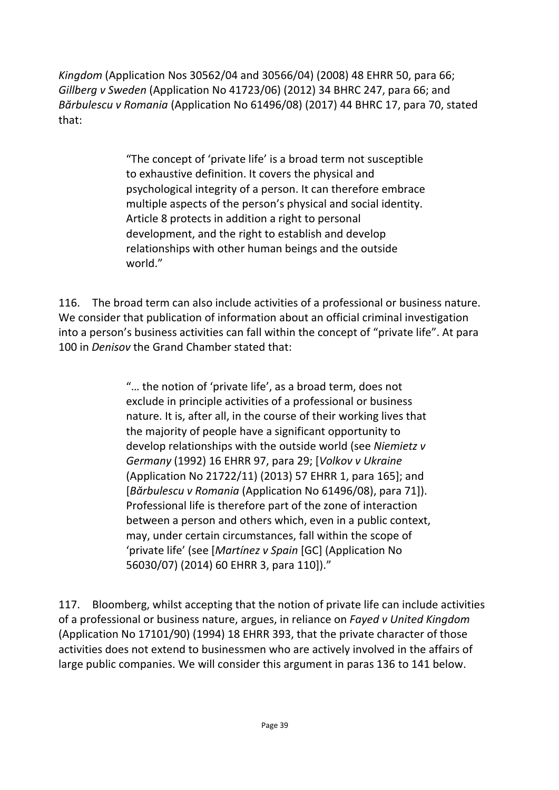*Kingdom* (Application Nos 30562/04 and 30566/04) (2008) 48 EHRR 50, para 66; *Gillberg v Sweden* (Application No 41723/06) (2012) 34 BHRC 247, para 66; and *Bărbulescu v Romania* (Application No 61496/08) (2017) 44 BHRC 17, para 70, stated that:

> "The concept of 'private life' is a broad term not susceptible to exhaustive definition. It covers the physical and psychological integrity of a person. It can therefore embrace multiple aspects of the person's physical and social identity. Article 8 protects in addition a right to personal development, and the right to establish and develop relationships with other human beings and the outside world."

116. The broad term can also include activities of a professional or business nature. We consider that publication of information about an official criminal investigation into a person's business activities can fall within the concept of "private life". At para 100 in *Denisov* the Grand Chamber stated that:

> "… the notion of 'private life', as a broad term, does not exclude in principle activities of a professional or business nature. It is, after all, in the course of their working lives that the majority of people have a significant opportunity to develop relationships with the outside world (see *Niemietz v Germany* (1992) 16 EHRR 97, para 29; [*Volkov v Ukraine* (Application No 21722/11) (2013) 57 EHRR 1, para 165]; and [*Bărbulescu v Romania* (Application No 61496/08), para 71]). Professional life is therefore part of the zone of interaction between a person and others which, even in a public context, may, under certain circumstances, fall within the scope of 'private life' (see [*Martínez v Spain* [GC] (Application No 56030/07) (2014) 60 EHRR 3, para 110])."

117. Bloomberg, whilst accepting that the notion of private life can include activities of a professional or business nature, argues, in reliance on *Fayed v United Kingdom* (Application No 17101/90) (1994) 18 EHRR 393, that the private character of those activities does not extend to businessmen who are actively involved in the affairs of large public companies. We will consider this argument in paras 136 to 141 below.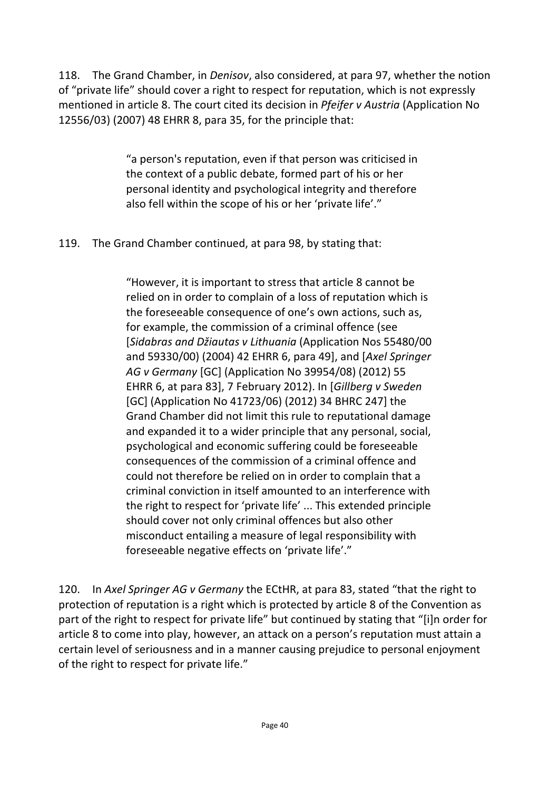118. The Grand Chamber, in *Denisov*, also considered, at para 97, whether the notion of "private life" should cover a right to respect for reputation, which is not expressly mentioned in article 8. The court cited its decision in *Pfeifer v Austria* (Application No 12556/03) (2007) 48 EHRR 8, para 35, for the principle that:

> "a person's reputation, even if that person was criticised in the context of a public debate, formed part of his or her personal identity and psychological integrity and therefore also fell within the scope of his or her 'private life'."

119. The Grand Chamber continued, at para 98, by stating that:

"However, it is important to stress that article 8 cannot be relied on in order to complain of a loss of reputation which is the foreseeable consequence of one's own actions, such as, for example, the commission of a criminal offence (see [*Sidabras and Džiautas v Lithuania* (Application Nos 55480/00 and 59330/00) (2004) 42 EHRR 6, para 49], and [*Axel Springer AG v Germany* [GC] (Application No 39954/08) (2012) 55 EHRR 6, at para 83], 7 February 2012). In [*Gillberg v Sweden* [GC] (Application No 41723/06) (2012) 34 BHRC 247] the Grand Chamber did not limit this rule to reputational damage and expanded it to a wider principle that any personal, social, psychological and economic suffering could be foreseeable consequences of the commission of a criminal offence and could not therefore be relied on in order to complain that a criminal conviction in itself amounted to an interference with the right to respect for 'private life' ... This extended principle should cover not only criminal offences but also other misconduct entailing a measure of legal responsibility with foreseeable negative effects on 'private life'."

120. In *Axel Springer AG v Germany* the ECtHR, at para 83, stated "that the right to protection of reputation is a right which is protected by article 8 of the Convention as part of the right to respect for private life" but continued by stating that "[i]n order for article 8 to come into play, however, an attack on a person's reputation must attain a certain level of seriousness and in a manner causing prejudice to personal enjoyment of the right to respect for private life."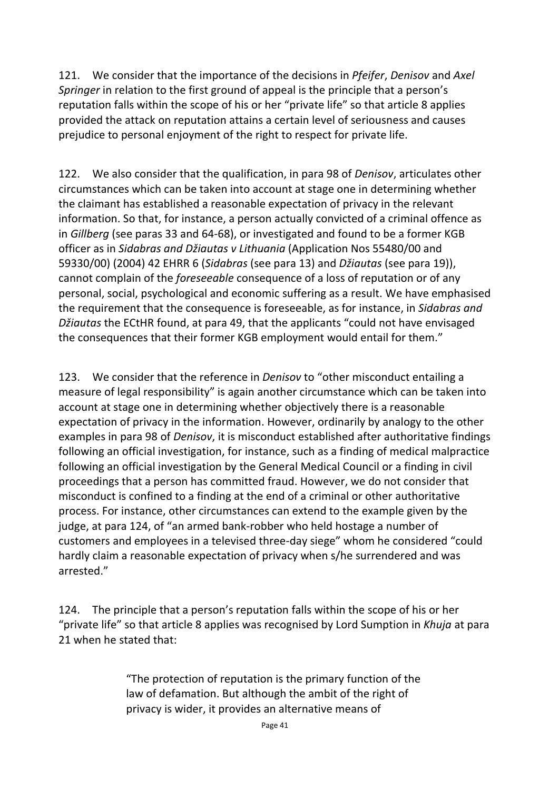121. We consider that the importance of the decisions in *Pfeifer*, *Denisov* and *Axel Springer* in relation to the first ground of appeal is the principle that a person's reputation falls within the scope of his or her "private life" so that article 8 applies provided the attack on reputation attains a certain level of seriousness and causes prejudice to personal enjoyment of the right to respect for private life.

122. We also consider that the qualification, in para 98 of *Denisov*, articulates other circumstances which can be taken into account at stage one in determining whether the claimant has established a reasonable expectation of privacy in the relevant information. So that, for instance, a person actually convicted of a criminal offence as in *Gillberg* (see paras 33 and 64-68), or investigated and found to be a former KGB officer as in *Sidabras and Džiautas v Lithuania* (Application Nos 55480/00 and 59330/00) (2004) 42 EHRR 6 (*Sidabras* (see para 13) and *Džiautas* (see para 19)), cannot complain of the *foreseeable* consequence of a loss of reputation or of any personal, social, psychological and economic suffering as a result. We have emphasised the requirement that the consequence is foreseeable, as for instance, in *Sidabras and Džiautas* the ECtHR found, at para 49, that the applicants "could not have envisaged the consequences that their former KGB employment would entail for them."

123. We consider that the reference in *Denisov* to "other misconduct entailing a measure of legal responsibility" is again another circumstance which can be taken into account at stage one in determining whether objectively there is a reasonable expectation of privacy in the information. However, ordinarily by analogy to the other examples in para 98 of *Denisov*, it is misconduct established after authoritative findings following an official investigation, for instance, such as a finding of medical malpractice following an official investigation by the General Medical Council or a finding in civil proceedings that a person has committed fraud. However, we do not consider that misconduct is confined to a finding at the end of a criminal or other authoritative process. For instance, other circumstances can extend to the example given by the judge, at para 124, of "an armed bank-robber who held hostage a number of customers and employees in a televised three-day siege" whom he considered "could hardly claim a reasonable expectation of privacy when s/he surrendered and was arrested."

124. The principle that a person's reputation falls within the scope of his or her "private life" so that article 8 applies was recognised by Lord Sumption in *Khuja* at para 21 when he stated that:

> "The protection of reputation is the primary function of the law of defamation. But although the ambit of the right of privacy is wider, it provides an alternative means of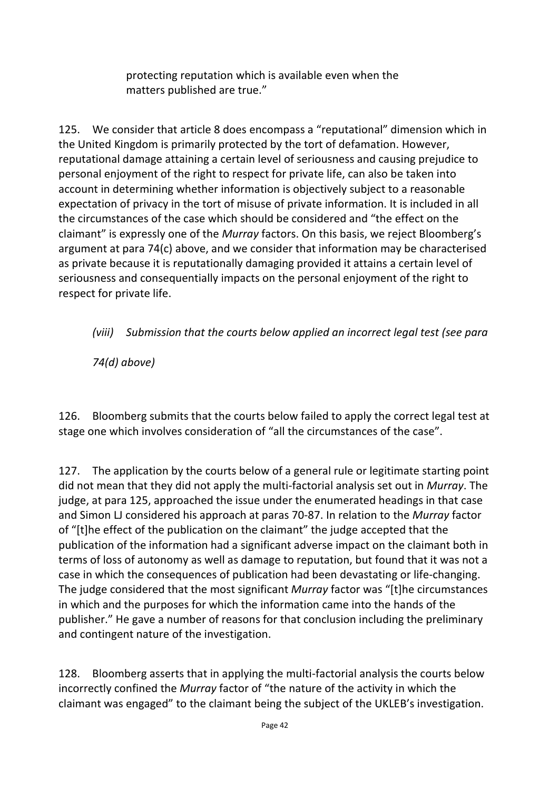protecting reputation which is available even when the matters published are true."

125. We consider that article 8 does encompass a "reputational" dimension which in the United Kingdom is primarily protected by the tort of defamation. However, reputational damage attaining a certain level of seriousness and causing prejudice to personal enjoyment of the right to respect for private life, can also be taken into account in determining whether information is objectively subject to a reasonable expectation of privacy in the tort of misuse of private information. It is included in all the circumstances of the case which should be considered and "the effect on the claimant" is expressly one of the *Murray* factors. On this basis, we reject Bloomberg's argument at para 74(c) above, and we consider that information may be characterised as private because it is reputationally damaging provided it attains a certain level of seriousness and consequentially impacts on the personal enjoyment of the right to respect for private life.

*(viii) Submission that the courts below applied an incorrect legal test (see para* 

*74(d) above)*

126. Bloomberg submits that the courts below failed to apply the correct legal test at stage one which involves consideration of "all the circumstances of the case".

127. The application by the courts below of a general rule or legitimate starting point did not mean that they did not apply the multi-factorial analysis set out in *Murray*. The judge, at para 125, approached the issue under the enumerated headings in that case and Simon LJ considered his approach at paras 70-87. In relation to the *Murray* factor of "[t]he effect of the publication on the claimant" the judge accepted that the publication of the information had a significant adverse impact on the claimant both in terms of loss of autonomy as well as damage to reputation, but found that it was not a case in which the consequences of publication had been devastating or life-changing. The judge considered that the most significant *Murray* factor was "[t]he circumstances in which and the purposes for which the information came into the hands of the publisher." He gave a number of reasons for that conclusion including the preliminary and contingent nature of the investigation.

128. Bloomberg asserts that in applying the multi-factorial analysis the courts below incorrectly confined the *Murray* factor of "the nature of the activity in which the claimant was engaged" to the claimant being the subject of the UKLEB's investigation.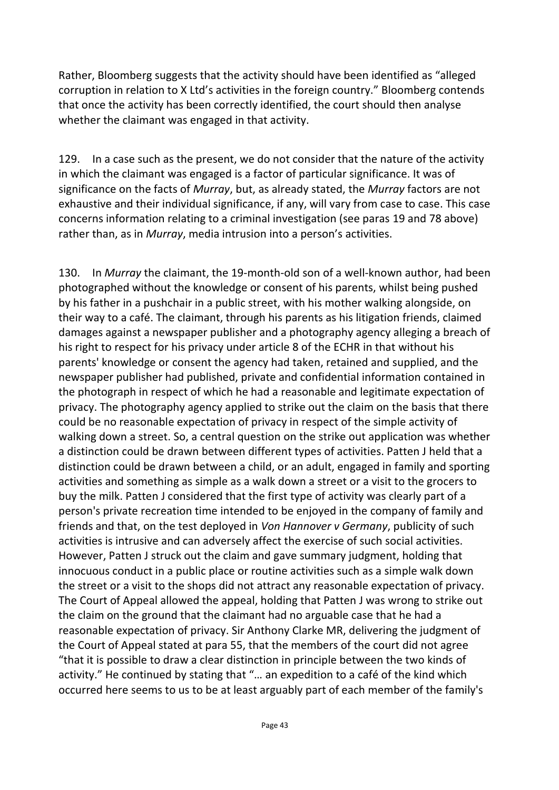Rather, Bloomberg suggests that the activity should have been identified as "alleged corruption in relation to X Ltd's activities in the foreign country." Bloomberg contends that once the activity has been correctly identified, the court should then analyse whether the claimant was engaged in that activity.

129. In a case such as the present, we do not consider that the nature of the activity in which the claimant was engaged is a factor of particular significance. It was of significance on the facts of *Murray*, but, as already stated, the *Murray* factors are not exhaustive and their individual significance, if any, will vary from case to case. This case concerns information relating to a criminal investigation (see paras 19 and 78 above) rather than, as in *Murray*, media intrusion into a person's activities.

130. In *Murray* the claimant, the 19-month-old son of a well-known author, had been photographed without the knowledge or consent of his parents, whilst being pushed by his father in a pushchair in a public street, with his mother walking alongside, on their way to a café. The claimant, through his parents as his litigation friends, claimed damages against a newspaper publisher and a photography agency alleging a breach of his right to respect for his privacy under article 8 of the ECHR in that without his parents' knowledge or consent the agency had taken, retained and supplied, and the newspaper publisher had published, private and confidential information contained in the photograph in respect of which he had a reasonable and legitimate expectation of privacy. The photography agency applied to strike out the claim on the basis that there could be no reasonable expectation of privacy in respect of the simple activity of walking down a street. So, a central question on the strike out application was whether a distinction could be drawn between different types of activities. Patten J held that a distinction could be drawn between a child, or an adult, engaged in family and sporting activities and something as simple as a walk down a street or a visit to the grocers to buy the milk. Patten J considered that the first type of activity was clearly part of a person's private recreation time intended to be enjoyed in the company of family and friends and that, on the test deployed in *Von Hannover v Germany*, publicity of such activities is intrusive and can adversely affect the exercise of such social activities. However, Patten J struck out the claim and gave summary judgment, holding that innocuous conduct in a public place or routine activities such as a simple walk down the street or a visit to the shops did not attract any reasonable expectation of privacy. The Court of Appeal allowed the appeal, holding that Patten J was wrong to strike out the claim on the ground that the claimant had no arguable case that he had a reasonable expectation of privacy. Sir Anthony Clarke MR, delivering the judgment of the Court of Appeal stated at para 55, that the members of the court did not agree "that it is possible to draw a clear distinction in principle between the two kinds of activity." He continued by stating that "… an expedition to a café of the kind which occurred here seems to us to be at least arguably part of each member of the family's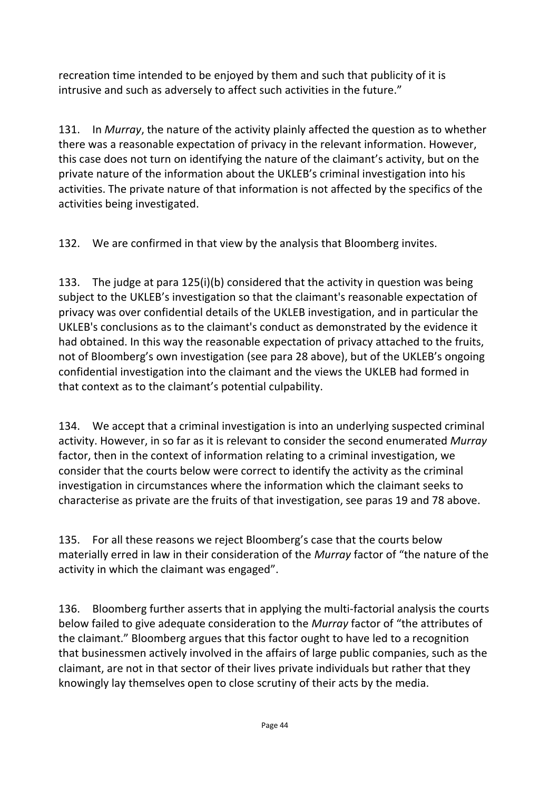recreation time intended to be enjoyed by them and such that publicity of it is intrusive and such as adversely to affect such activities in the future."

131. In *Murray*, the nature of the activity plainly affected the question as to whether there was a reasonable expectation of privacy in the relevant information. However, this case does not turn on identifying the nature of the claimant's activity, but on the private nature of the information about the UKLEB's criminal investigation into his activities. The private nature of that information is not affected by the specifics of the activities being investigated.

132. We are confirmed in that view by the analysis that Bloomberg invites.

133. The judge at para 125(i)(b) considered that the activity in question was being subject to the UKLEB's investigation so that the claimant's reasonable expectation of privacy was over confidential details of the UKLEB investigation, and in particular the UKLEB's conclusions as to the claimant's conduct as demonstrated by the evidence it had obtained. In this way the reasonable expectation of privacy attached to the fruits, not of Bloomberg's own investigation (see para 28 above), but of the UKLEB's ongoing confidential investigation into the claimant and the views the UKLEB had formed in that context as to the claimant's potential culpability.

134. We accept that a criminal investigation is into an underlying suspected criminal activity. However, in so far as it is relevant to consider the second enumerated *Murray*  factor, then in the context of information relating to a criminal investigation, we consider that the courts below were correct to identify the activity as the criminal investigation in circumstances where the information which the claimant seeks to characterise as private are the fruits of that investigation, see paras 19 and 78 above.

135. For all these reasons we reject Bloomberg's case that the courts below materially erred in law in their consideration of the *Murray* factor of "the nature of the activity in which the claimant was engaged".

136. Bloomberg further asserts that in applying the multi-factorial analysis the courts below failed to give adequate consideration to the *Murray* factor of "the attributes of the claimant." Bloomberg argues that this factor ought to have led to a recognition that businessmen actively involved in the affairs of large public companies, such as the claimant, are not in that sector of their lives private individuals but rather that they knowingly lay themselves open to close scrutiny of their acts by the media.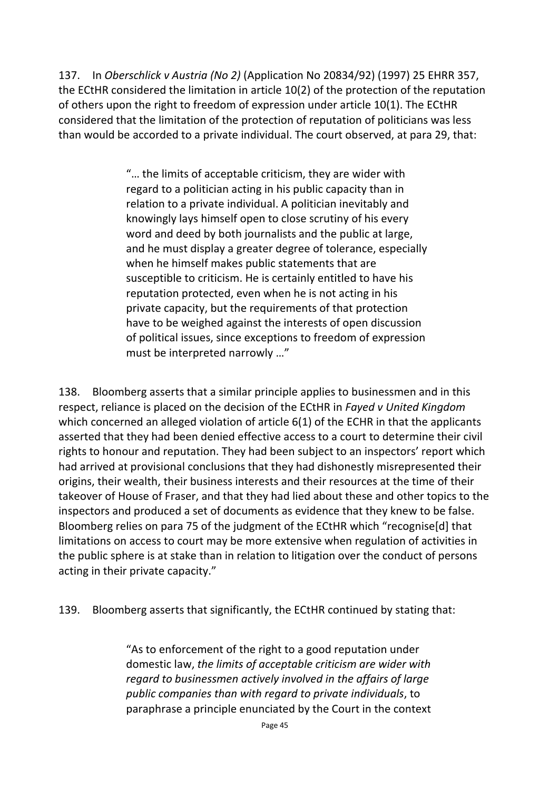137. In *Oberschlick v Austria (No 2)* (Application No 20834/92) (1997) 25 EHRR 357, the ECtHR considered the limitation in article 10(2) of the protection of the reputation of others upon the right to freedom of expression under article 10(1). The ECtHR considered that the limitation of the protection of reputation of politicians was less than would be accorded to a private individual. The court observed, at para 29, that:

> "… the limits of acceptable criticism, they are wider with regard to a politician acting in his public capacity than in relation to a private individual. A politician inevitably and knowingly lays himself open to close scrutiny of his every word and deed by both journalists and the public at large, and he must display a greater degree of tolerance, especially when he himself makes public statements that are susceptible to criticism. He is certainly entitled to have his reputation protected, even when he is not acting in his private capacity, but the requirements of that protection have to be weighed against the interests of open discussion of political issues, since exceptions to freedom of expression must be interpreted narrowly …"

138. Bloomberg asserts that a similar principle applies to businessmen and in this respect, reliance is placed on the decision of the ECtHR in *Fayed v United Kingdom* which concerned an alleged violation of article 6(1) of the ECHR in that the applicants asserted that they had been denied effective access to a court to determine their civil rights to honour and reputation. They had been subject to an inspectors' report which had arrived at provisional conclusions that they had dishonestly misrepresented their origins, their wealth, their business interests and their resources at the time of their takeover of House of Fraser, and that they had lied about these and other topics to the inspectors and produced a set of documents as evidence that they knew to be false. Bloomberg relies on para 75 of the judgment of the ECtHR which "recognise[d] that limitations on access to court may be more extensive when regulation of activities in the public sphere is at stake than in relation to litigation over the conduct of persons acting in their private capacity."

139. Bloomberg asserts that significantly, the ECtHR continued by stating that:

"As to enforcement of the right to a good reputation under domestic law, *the limits of acceptable criticism are wider with regard to businessmen actively involved in the affairs of large public companies than with regard to private individuals*, to paraphrase a principle enunciated by the Court in the context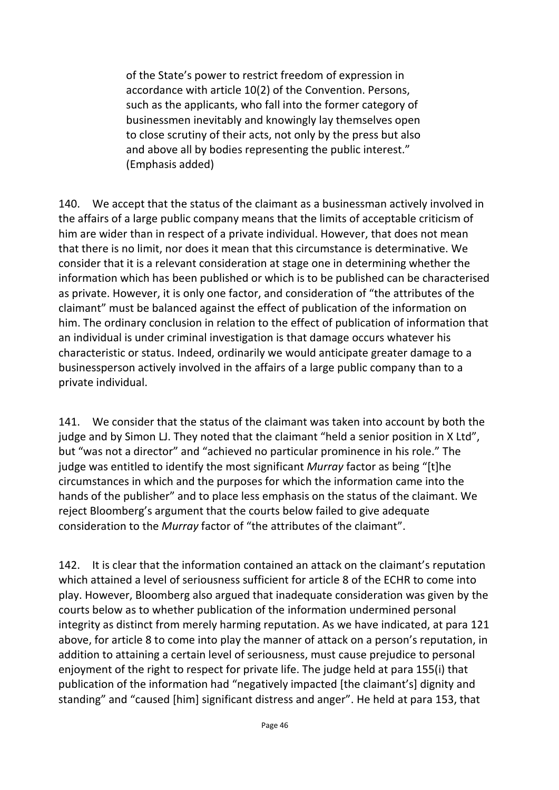of the State's power to restrict freedom of expression in accordance with article 10(2) of the Convention. Persons, such as the applicants, who fall into the former category of businessmen inevitably and knowingly lay themselves open to close scrutiny of their acts, not only by the press but also and above all by bodies representing the public interest." (Emphasis added)

140. We accept that the status of the claimant as a businessman actively involved in the affairs of a large public company means that the limits of acceptable criticism of him are wider than in respect of a private individual. However, that does not mean that there is no limit, nor does it mean that this circumstance is determinative. We consider that it is a relevant consideration at stage one in determining whether the information which has been published or which is to be published can be characterised as private. However, it is only one factor, and consideration of "the attributes of the claimant" must be balanced against the effect of publication of the information on him. The ordinary conclusion in relation to the effect of publication of information that an individual is under criminal investigation is that damage occurs whatever his characteristic or status. Indeed, ordinarily we would anticipate greater damage to a businessperson actively involved in the affairs of a large public company than to a private individual.

141. We consider that the status of the claimant was taken into account by both the judge and by Simon LJ. They noted that the claimant "held a senior position in X Ltd", but "was not a director" and "achieved no particular prominence in his role." The judge was entitled to identify the most significant *Murray* factor as being "[t]he circumstances in which and the purposes for which the information came into the hands of the publisher" and to place less emphasis on the status of the claimant. We reject Bloomberg's argument that the courts below failed to give adequate consideration to the *Murray* factor of "the attributes of the claimant".

142. It is clear that the information contained an attack on the claimant's reputation which attained a level of seriousness sufficient for article 8 of the ECHR to come into play. However, Bloomberg also argued that inadequate consideration was given by the courts below as to whether publication of the information undermined personal integrity as distinct from merely harming reputation. As we have indicated, at para 121 above, for article 8 to come into play the manner of attack on a person's reputation, in addition to attaining a certain level of seriousness, must cause prejudice to personal enjoyment of the right to respect for private life. The judge held at para 155(i) that publication of the information had "negatively impacted [the claimant's] dignity and standing" and "caused [him] significant distress and anger". He held at para 153, that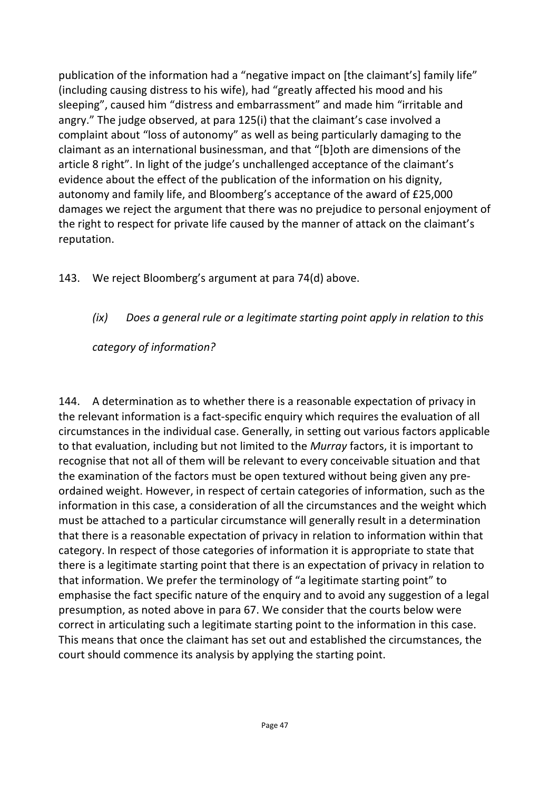publication of the information had a "negative impact on [the claimant's] family life" (including causing distress to his wife), had "greatly affected his mood and his sleeping", caused him "distress and embarrassment" and made him "irritable and angry." The judge observed, at para 125(i) that the claimant's case involved a complaint about "loss of autonomy" as well as being particularly damaging to the claimant as an international businessman, and that "[b]oth are dimensions of the article 8 right". In light of the judge's unchallenged acceptance of the claimant's evidence about the effect of the publication of the information on his dignity, autonomy and family life, and Bloomberg's acceptance of the award of £25,000 damages we reject the argument that there was no prejudice to personal enjoyment of the right to respect for private life caused by the manner of attack on the claimant's reputation.

143. We reject Bloomberg's argument at para 74(d) above.

## *(ix) Does a general rule or a legitimate starting point apply in relation to this*

*category of information?*

144. A determination as to whether there is a reasonable expectation of privacy in the relevant information is a fact-specific enquiry which requires the evaluation of all circumstances in the individual case. Generally, in setting out various factors applicable to that evaluation, including but not limited to the *Murray* factors, it is important to recognise that not all of them will be relevant to every conceivable situation and that the examination of the factors must be open textured without being given any preordained weight. However, in respect of certain categories of information, such as the information in this case, a consideration of all the circumstances and the weight which must be attached to a particular circumstance will generally result in a determination that there is a reasonable expectation of privacy in relation to information within that category. In respect of those categories of information it is appropriate to state that there is a legitimate starting point that there is an expectation of privacy in relation to that information. We prefer the terminology of "a legitimate starting point" to emphasise the fact specific nature of the enquiry and to avoid any suggestion of a legal presumption, as noted above in para 67. We consider that the courts below were correct in articulating such a legitimate starting point to the information in this case. This means that once the claimant has set out and established the circumstances, the court should commence its analysis by applying the starting point.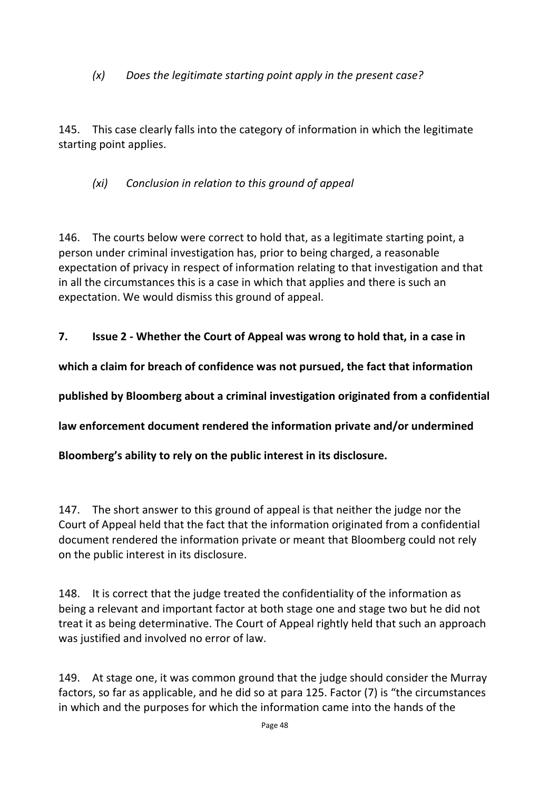*(x) Does the legitimate starting point apply in the present case?*

145. This case clearly falls into the category of information in which the legitimate starting point applies.

*(xi) Conclusion in relation to this ground of appeal*

146. The courts below were correct to hold that, as a legitimate starting point, a person under criminal investigation has, prior to being charged, a reasonable expectation of privacy in respect of information relating to that investigation and that in all the circumstances this is a case in which that applies and there is such an expectation. We would dismiss this ground of appeal.

**7. Issue 2 - Whether the Court of Appeal was wrong to hold that, in a case in** 

**which a claim for breach of confidence was not pursued, the fact that information** 

**published by Bloomberg about a criminal investigation originated from a confidential** 

**law enforcement document rendered the information private and/or undermined** 

**Bloomberg's ability to rely on the public interest in its disclosure.**

147. The short answer to this ground of appeal is that neither the judge nor the Court of Appeal held that the fact that the information originated from a confidential document rendered the information private or meant that Bloomberg could not rely on the public interest in its disclosure.

148. It is correct that the judge treated the confidentiality of the information as being a relevant and important factor at both stage one and stage two but he did not treat it as being determinative. The Court of Appeal rightly held that such an approach was justified and involved no error of law.

149. At stage one, it was common ground that the judge should consider the Murray factors, so far as applicable, and he did so at para 125. Factor (7) is "the circumstances in which and the purposes for which the information came into the hands of the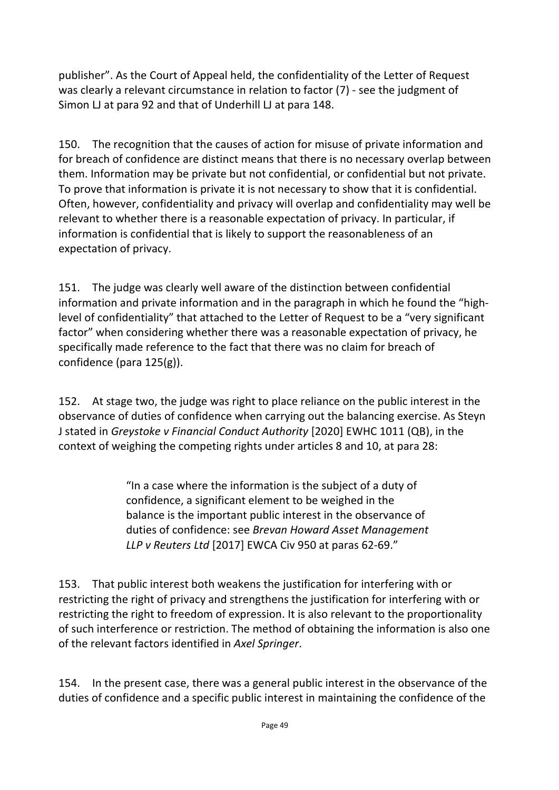publisher". As the Court of Appeal held, the confidentiality of the Letter of Request was clearly a relevant circumstance in relation to factor (7) - see the judgment of Simon LJ at para 92 and that of Underhill LJ at para 148.

150. The recognition that the causes of action for misuse of private information and for breach of confidence are distinct means that there is no necessary overlap between them. Information may be private but not confidential, or confidential but not private. To prove that information is private it is not necessary to show that it is confidential. Often, however, confidentiality and privacy will overlap and confidentiality may well be relevant to whether there is a reasonable expectation of privacy. In particular, if information is confidential that is likely to support the reasonableness of an expectation of privacy.

151. The judge was clearly well aware of the distinction between confidential information and private information and in the paragraph in which he found the "highlevel of confidentiality" that attached to the Letter of Request to be a "very significant factor" when considering whether there was a reasonable expectation of privacy, he specifically made reference to the fact that there was no claim for breach of confidence (para 125(g)).

152. At stage two, the judge was right to place reliance on the public interest in the observance of duties of confidence when carrying out the balancing exercise. As Steyn J stated in *Greystoke v Financial Conduct Authority* [2020] EWHC 1011 (QB), in the context of weighing the competing rights under articles 8 and 10, at para 28:

> "In a case where the information is the subject of a duty of confidence, a significant element to be weighed in the balance is the important public interest in the observance of duties of confidence: see *Brevan Howard Asset Management LLP v Reuters Ltd* [2017] EWCA Civ 950 at paras 62-69."

153. That public interest both weakens the justification for interfering with or restricting the right of privacy and strengthens the justification for interfering with or restricting the right to freedom of expression. It is also relevant to the proportionality of such interference or restriction. The method of obtaining the information is also one of the relevant factors identified in *Axel Springer*.

154. In the present case, there was a general public interest in the observance of the duties of confidence and a specific public interest in maintaining the confidence of the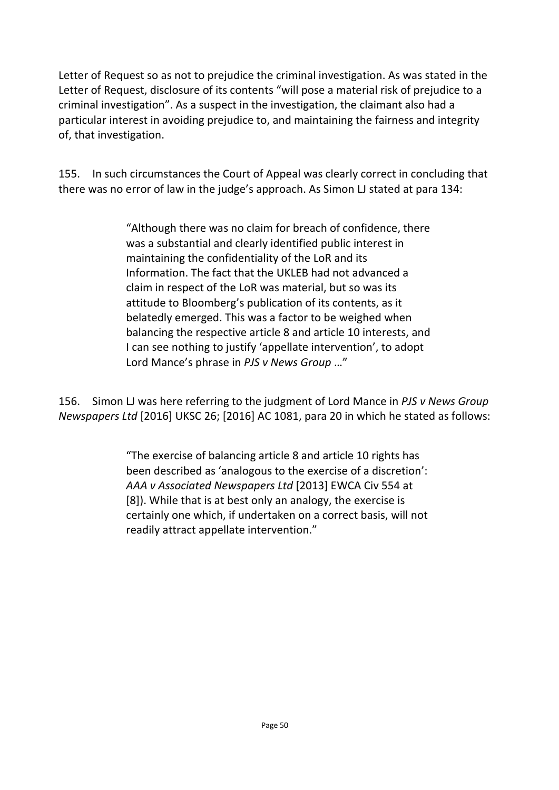Letter of Request so as not to prejudice the criminal investigation. As was stated in the Letter of Request, disclosure of its contents "will pose a material risk of prejudice to a criminal investigation". As a suspect in the investigation, the claimant also had a particular interest in avoiding prejudice to, and maintaining the fairness and integrity of, that investigation.

155. In such circumstances the Court of Appeal was clearly correct in concluding that there was no error of law in the judge's approach. As Simon LJ stated at para 134:

> "Although there was no claim for breach of confidence, there was a substantial and clearly identified public interest in maintaining the confidentiality of the LoR and its Information. The fact that the UKLEB had not advanced a claim in respect of the LoR was material, but so was its attitude to Bloomberg's publication of its contents, as it belatedly emerged. This was a factor to be weighed when balancing the respective article 8 and article 10 interests, and I can see nothing to justify 'appellate intervention', to adopt Lord Mance's phrase in *PJS v News Group* …"

156. Simon LJ was here referring to the judgment of Lord Mance in *PJS v News Group Newspapers Ltd* [2016] UKSC 26; [2016] AC 1081, para 20 in which he stated as follows:

> "The exercise of balancing article 8 and article 10 rights has been described as 'analogous to the exercise of a discretion': *AAA v Associated Newspapers Ltd* [2013] EWCA Civ 554 at [8]). While that is at best only an analogy, the exercise is certainly one which, if undertaken on a correct basis, will not readily attract appellate intervention."